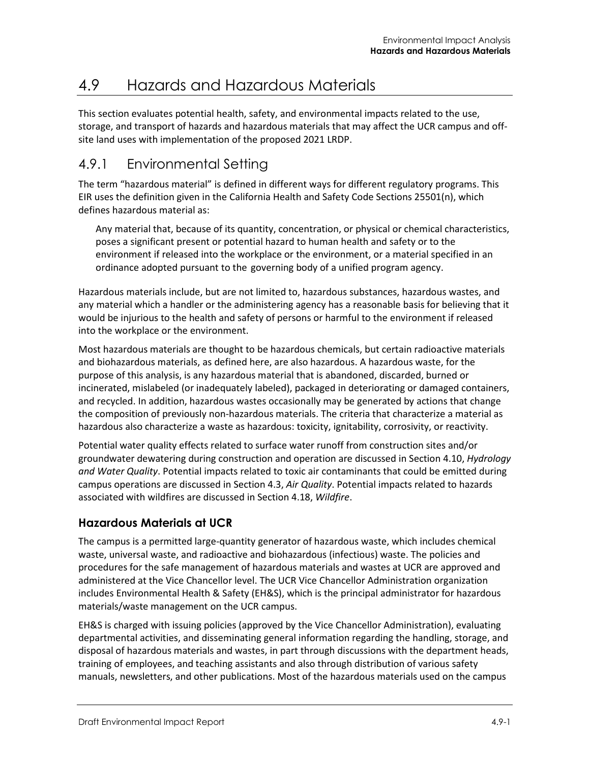# 4.9 Hazards and Hazardous Materials

This section evaluates potential health, safety, and environmental impacts related to the use, storage, and transport of hazards and hazardous materials that may affect the UCR campus and offsite land uses with implementation of the proposed 2021 LRDP.

# 4.9.1 Environmental Setting

The term "hazardous material" is defined in different ways for different regulatory programs. This EIR uses the definition given in the California Health and Safety Code Sections 25501(n), which defines hazardous material as:

Any material that, because of its quantity, concentration, or physical or chemical characteristics, poses a significant present or potential hazard to human health and safety or to the environment if released into the workplace or the environment, or a material specified in an ordinance adopted pursuant to the governing body of a unified program agency.

Hazardous materials include, but are not limited to, hazardous substances, hazardous wastes, and any material which a handler or the administering agency has a reasonable basis for believing that it would be injurious to the health and safety of persons or harmful to the environment if released into the workplace or the environment.

Most hazardous materials are thought to be hazardous chemicals, but certain radioactive materials and biohazardous materials, as defined here, are also hazardous. A hazardous waste, for the purpose of this analysis, is any hazardous material that is abandoned, discarded, burned or incinerated, mislabeled (or inadequately labeled), packaged in deteriorating or damaged containers, and recycled. In addition, hazardous wastes occasionally may be generated by actions that change the composition of previously non-hazardous materials. The criteria that characterize a material as hazardous also characterize a waste as hazardous: toxicity, ignitability, corrosivity, or reactivity.

Potential water quality effects related to surface water runoff from construction sites and/or groundwater dewatering during construction and operation are discussed in Section 4.10, *Hydrology and Water Quality*. Potential impacts related to toxic air contaminants that could be emitted during campus operations are discussed in Section 4.3, *Air Quality*. Potential impacts related to hazards associated with wildfires are discussed in Section 4.18, *Wildfire*.

# **Hazardous Materials at UCR**

The campus is a permitted large-quantity generator of hazardous waste, which includes chemical waste, universal waste, and radioactive and biohazardous (infectious) waste. The policies and procedures for the safe management of hazardous materials and wastes at UCR are approved and administered at the Vice Chancellor level. The UCR Vice Chancellor Administration organization includes Environmental Health & Safety (EH&S), which is the principal administrator for hazardous materials/waste management on the UCR campus.

EH&S is charged with issuing policies (approved by the Vice Chancellor Administration), evaluating departmental activities, and disseminating general information regarding the handling, storage, and disposal of hazardous materials and wastes, in part through discussions with the department heads, training of employees, and teaching assistants and also through distribution of various safety manuals, newsletters, and other publications. Most of the hazardous materials used on the campus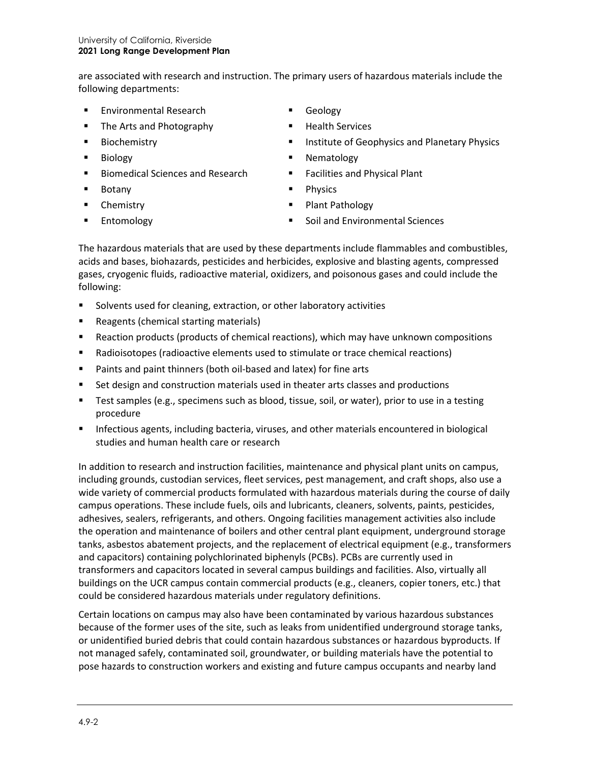are associated with research and instruction. The primary users of hazardous materials include the following departments:

- **Environmental Research**
- The Arts and Photography
- **Biochemistry**
- **Biology**
- Biomedical Sciences and Research
- **Botany**
- **-** Chemistry
- **Entomology**
- Geology
- **Health Services**
- Institute of Geophysics and Planetary Physics
- **Nematology**
- Facilities and Physical Plant
- **Physics**
- **Plant Pathology**
- Soil and Environmental Sciences

The hazardous materials that are used by these departments include flammables and combustibles, acids and bases, biohazards, pesticides and herbicides, explosive and blasting agents, compressed gases, cryogenic fluids, radioactive material, oxidizers, and poisonous gases and could include the following:

- Solvents used for cleaning, extraction, or other laboratory activities
- **Reagents (chemical starting materials)**
- Reaction products (products of chemical reactions), which may have unknown compositions
- Radioisotopes (radioactive elements used to stimulate or trace chemical reactions)
- Paints and paint thinners (both oil-based and latex) for fine arts
- **Set design and construction materials used in theater arts classes and productions**
- **Test samples (e.g., specimens such as blood, tissue, soil, or water), prior to use in a testing** procedure
- **Infectious agents, including bacteria, viruses, and other materials encountered in biological** studies and human health care or research

In addition to research and instruction facilities, maintenance and physical plant units on campus, including grounds, custodian services, fleet services, pest management, and craft shops, also use a wide variety of commercial products formulated with hazardous materials during the course of daily campus operations. These include fuels, oils and lubricants, cleaners, solvents, paints, pesticides, adhesives, sealers, refrigerants, and others. Ongoing facilities management activities also include the operation and maintenance of boilers and other central plant equipment, underground storage tanks, asbestos abatement projects, and the replacement of electrical equipment (e.g., transformers and capacitors) containing polychlorinated biphenyls (PCBs). PCBs are currently used in transformers and capacitors located in several campus buildings and facilities. Also, virtually all buildings on the UCR campus contain commercial products (e.g., cleaners, copier toners, etc.) that could be considered hazardous materials under regulatory definitions.

Certain locations on campus may also have been contaminated by various hazardous substances because of the former uses of the site, such as leaks from unidentified underground storage tanks, or unidentified buried debris that could contain hazardous substances or hazardous byproducts. If not managed safely, contaminated soil, groundwater, or building materials have the potential to pose hazards to construction workers and existing and future campus occupants and nearby land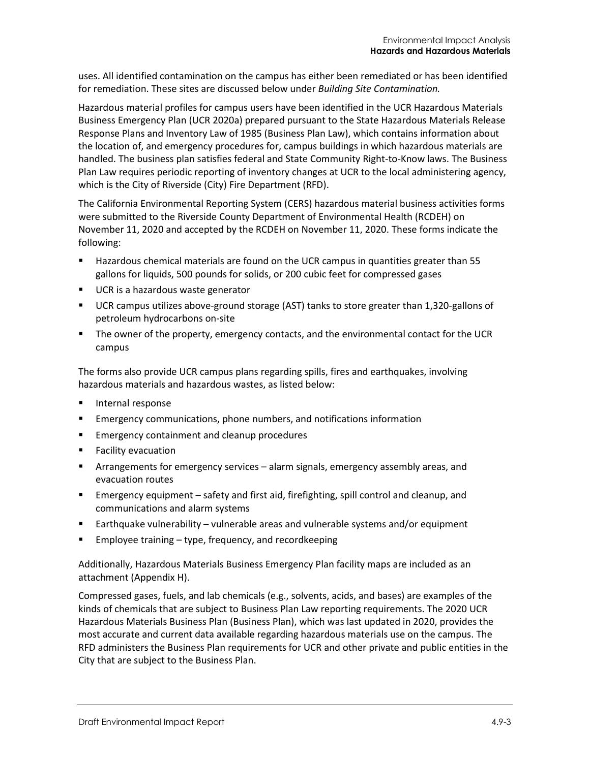uses. All identified contamination on the campus has either been remediated or has been identified for remediation. These sites are discussed below under *Building Site Contamination.*

Hazardous material profiles for campus users have been identified in the UCR Hazardous Materials Business Emergency Plan (UCR 2020a) prepared pursuant to the State Hazardous Materials Release Response Plans and Inventory Law of 1985 (Business Plan Law), which contains information about the location of, and emergency procedures for, campus buildings in which hazardous materials are handled. The business plan satisfies federal and State Community Right-to-Know laws. The Business Plan Law requires periodic reporting of inventory changes at UCR to the local administering agency, which is the City of Riverside (City) Fire Department (RFD).

The California Environmental Reporting System (CERS) hazardous material business activities forms were submitted to the Riverside County Department of Environmental Health (RCDEH) on November 11, 2020 and accepted by the RCDEH on November 11, 2020. These forms indicate the following:

- Hazardous chemical materials are found on the UCR campus in quantities greater than 55 gallons for liquids, 500 pounds for solids, or 200 cubic feet for compressed gases
- UCR is a hazardous waste generator
- UCR campus utilizes above-ground storage (AST) tanks to store greater than 1,320-gallons of petroleum hydrocarbons on-site
- The owner of the property, emergency contacts, and the environmental contact for the UCR campus

The forms also provide UCR campus plans regarding spills, fires and earthquakes, involving hazardous materials and hazardous wastes, as listed below:

- **Internal response**
- Emergency communications, phone numbers, and notifications information
- **Emergency containment and cleanup procedures**
- Facility evacuation
- Arrangements for emergency services alarm signals, emergency assembly areas, and evacuation routes
- Emergency equipment safety and first aid, firefighting, spill control and cleanup, and communications and alarm systems
- Earthquake vulnerability vulnerable areas and vulnerable systems and/or equipment
- Employee training type, frequency, and recordkeeping

Additionally, Hazardous Materials Business Emergency Plan facility maps are included as an attachment (Appendix H).

Compressed gases, fuels, and lab chemicals (e.g., solvents, acids, and bases) are examples of the kinds of chemicals that are subject to Business Plan Law reporting requirements. The 2020 UCR Hazardous Materials Business Plan (Business Plan), which was last updated in 2020, provides the most accurate and current data available regarding hazardous materials use on the campus. The RFD administers the Business Plan requirements for UCR and other private and public entities in the City that are subject to the Business Plan.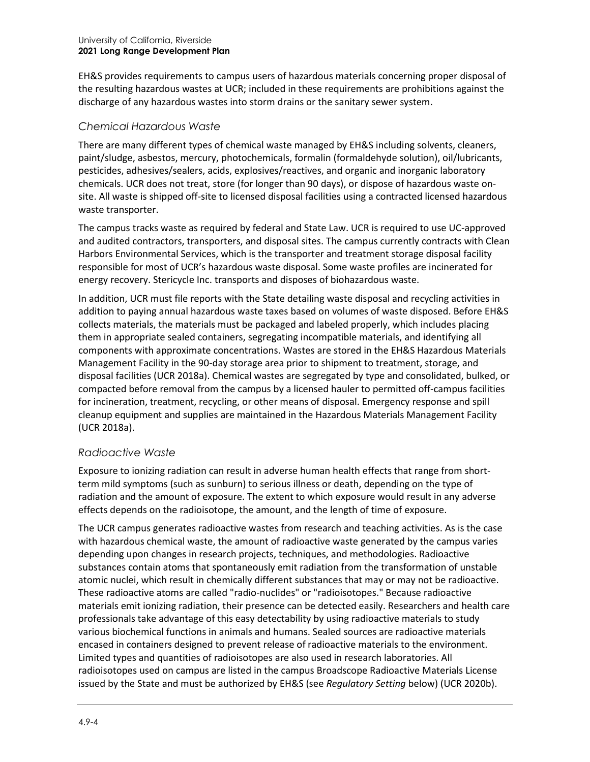EH&S provides requirements to campus users of hazardous materials concerning proper disposal of the resulting hazardous wastes at UCR; included in these requirements are prohibitions against the discharge of any hazardous wastes into storm drains or the sanitary sewer system.

#### *Chemical Hazardous Waste*

There are many different types of chemical waste managed by EH&S including solvents, cleaners, paint/sludge, asbestos, mercury, photochemicals, formalin (formaldehyde solution), oil/lubricants, pesticides, adhesives/sealers, acids, explosives/reactives, and organic and inorganic laboratory chemicals. UCR does not treat, store (for longer than 90 days), or dispose of hazardous waste onsite. All waste is shipped off-site to licensed disposal facilities using a contracted licensed hazardous waste transporter.

The campus tracks waste as required by federal and State Law. UCR is required to use UC-approved and audited contractors, transporters, and disposal sites. The campus currently contracts with Clean Harbors Environmental Services, which is the transporter and treatment storage disposal facility responsible for most of UCR's hazardous waste disposal. Some waste profiles are incinerated for energy recovery. Stericycle Inc. transports and disposes of biohazardous waste.

In addition, UCR must file reports with the State detailing waste disposal and recycling activities in addition to paying annual hazardous waste taxes based on volumes of waste disposed. Before EH&S collects materials, the materials must be packaged and labeled properly, which includes placing them in appropriate sealed containers, segregating incompatible materials, and identifying all components with approximate concentrations. Wastes are stored in the EH&S Hazardous Materials Management Facility in the 90-day storage area prior to shipment to treatment, storage, and disposal facilities (UCR 2018a). Chemical wastes are segregated by type and consolidated, bulked, or compacted before removal from the campus by a licensed hauler to permitted off-campus facilities for incineration, treatment, recycling, or other means of disposal. Emergency response and spill cleanup equipment and supplies are maintained in the Hazardous Materials Management Facility (UCR 2018a).

#### *Radioactive Waste*

Exposure to ionizing radiation can result in adverse human health effects that range from shortterm mild symptoms (such as sunburn) to serious illness or death, depending on the type of radiation and the amount of exposure. The extent to which exposure would result in any adverse effects depends on the radioisotope, the amount, and the length of time of exposure.

The UCR campus generates radioactive wastes from research and teaching activities. As is the case with hazardous chemical waste, the amount of radioactive waste generated by the campus varies depending upon changes in research projects, techniques, and methodologies. Radioactive substances contain atoms that spontaneously emit radiation from the transformation of unstable atomic nuclei, which result in chemically different substances that may or may not be radioactive. These radioactive atoms are called "radio-nuclides" or "radioisotopes." Because radioactive materials emit ionizing radiation, their presence can be detected easily. Researchers and health care professionals take advantage of this easy detectability by using radioactive materials to study various biochemical functions in animals and humans. Sealed sources are radioactive materials encased in containers designed to prevent release of radioactive materials to the environment. Limited types and quantities of radioisotopes are also used in research laboratories. All radioisotopes used on campus are listed in the campus Broadscope Radioactive Materials License issued by the State and must be authorized by EH&S (see *Regulatory Setting* below) (UCR 2020b).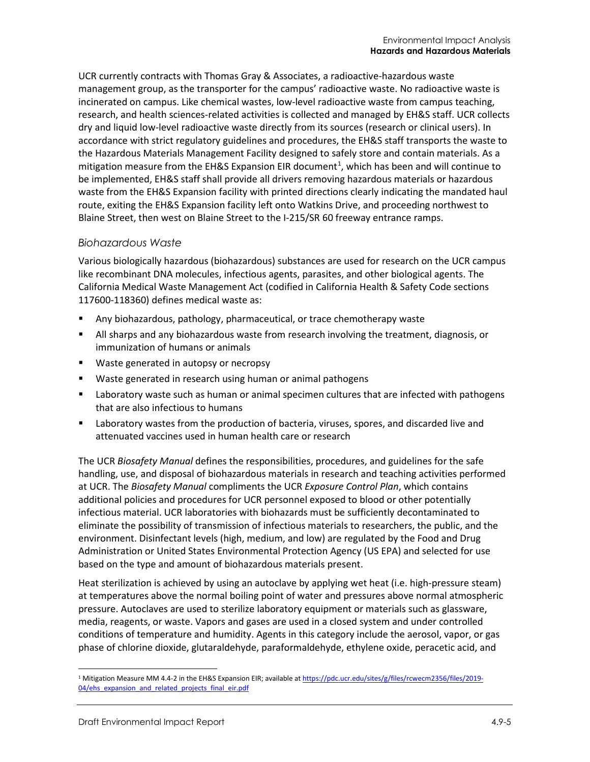UCR currently contracts with Thomas Gray & Associates, a radioactive-hazardous waste management group, as the transporter for the campus' radioactive waste. No radioactive waste is incinerated on campus. Like chemical wastes, low-level radioactive waste from campus teaching, research, and health sciences-related activities is collected and managed by EH&S staff. UCR collects dry and liquid low-level radioactive waste directly from its sources (research or clinical users). In accordance with strict regulatory guidelines and procedures, the EH&S staff transports the waste to the Hazardous Materials Management Facility designed to safely store and contain materials. As a mitigation measure from the EH&S Expansion EIR document<sup>[1](#page-4-0)</sup>, which has been and will continue to be implemented, EH&S staff shall provide all drivers removing hazardous materials or hazardous waste from the EH&S Expansion facility with printed directions clearly indicating the mandated haul route, exiting the EH&S Expansion facility left onto Watkins Drive, and proceeding northwest to Blaine Street, then west on Blaine Street to the I-215/SR 60 freeway entrance ramps.

#### *Biohazardous Waste*

Various biologically hazardous (biohazardous) substances are used for research on the UCR campus like recombinant DNA molecules, infectious agents, parasites, and other biological agents. The California Medical Waste Management Act (codified in California Health & Safety Code sections 117600-118360) defines medical waste as:

- Any biohazardous, pathology, pharmaceutical, or trace chemotherapy waste
- All sharps and any biohazardous waste from research involving the treatment, diagnosis, or immunization of humans or animals
- **Waste generated in autopsy or necropsy**
- Waste generated in research using human or animal pathogens
- **EXECT** Laboratory waste such as human or animal specimen cultures that are infected with pathogens that are also infectious to humans
- Laboratory wastes from the production of bacteria, viruses, spores, and discarded live and attenuated vaccines used in human health care or research

The UCR *Biosafety Manual* defines the responsibilities, procedures, and guidelines for the safe handling, use, and disposal of biohazardous materials in research and teaching activities performed at UCR. The *Biosafety Manual* compliments the UCR *Exposure Control Plan*, which contains additional policies and procedures for UCR personnel exposed to blood or other potentially infectious material. UCR laboratories with biohazards must be sufficiently decontaminated to eliminate the possibility of transmission of infectious materials to researchers, the public, and the environment. Disinfectant levels (high, medium, and low) are regulated by the Food and Drug Administration or United States Environmental Protection Agency (US EPA) and selected for use based on the type and amount of biohazardous materials present.

Heat sterilization is achieved by using an autoclave by applying wet heat (i.e. high-pressure steam) at temperatures above the normal boiling point of water and pressures above normal atmospheric pressure. Autoclaves are used to sterilize laboratory equipment or materials such as glassware, media, reagents, or waste. Vapors and gases are used in a closed system and under controlled conditions of temperature and humidity. Agents in this category include the aerosol, vapor, or gas phase of chlorine dioxide, glutaraldehyde, paraformaldehyde, ethylene oxide, peracetic acid, and

<span id="page-4-0"></span><sup>&</sup>lt;sup>1</sup> Mitigation Measure MM 4.4-2 in the EH&S Expansion EIR; available a[t https://pdc.ucr.edu/sites/g/files/rcwecm2356/files/2019-](https://pdc.ucr.edu/sites/g/files/rcwecm2356/files/2019-04/ehs_expansion_and_related_projects_final_eir.pdf) 04/ehs expansion and related projects final eir.pdf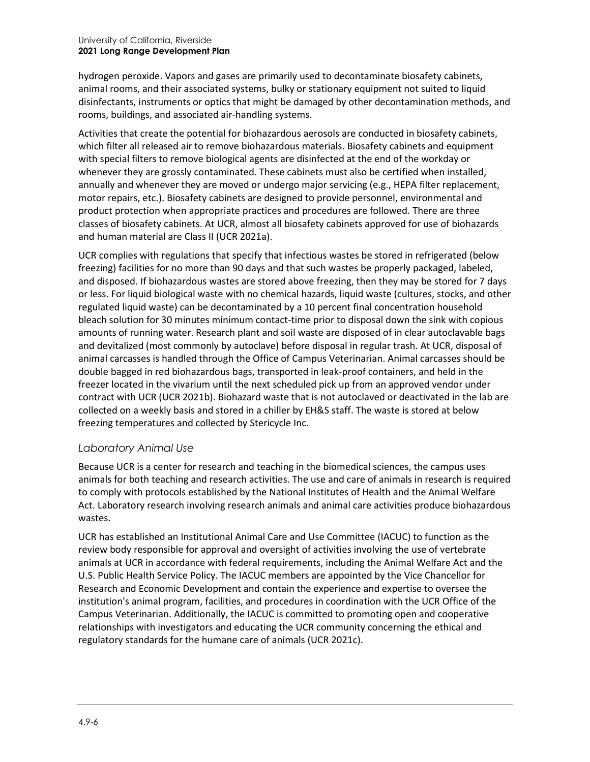#### University of California, Riverside **2021 Long Range Development Plan**

hydrogen peroxide. Vapors and gases are primarily used to decontaminate biosafety cabinets, animal rooms, and their associated systems, bulky or stationary equipment not suited to liquid disinfectants, instruments or optics that might be damaged by other decontamination methods, and rooms, buildings, and associated air-handling systems.

Activities that create the potential for biohazardous aerosols are conducted in biosafety cabinets, which filter all released air to remove biohazardous materials. Biosafety cabinets and equipment with special filters to remove biological agents are disinfected at the end of the workday or whenever they are grossly contaminated. These cabinets must also be certified when installed, annually and whenever they are moved or undergo major servicing (e.g., HEPA filter replacement, motor repairs, etc.). Biosafety cabinets are designed to provide personnel, environmental and product protection when appropriate practices and procedures are followed. There are three classes of biosafety cabinets. At UCR, almost all biosafety cabinets approved for use of biohazards and human material are Class II (UCR 2021a).

UCR complies with regulations that specify that infectious wastes be stored in refrigerated (below freezing) facilities for no more than 90 days and that such wastes be properly packaged, labeled, and disposed. If biohazardous wastes are stored above freezing, then they may be stored for 7 days or less. For liquid biological waste with no chemical hazards, liquid waste (cultures, stocks, and other regulated liquid waste) can be decontaminated by a 10 percent final concentration household bleach solution for 30 minutes minimum contact-time prior to disposal down the sink with copious amounts of running water. Research plant and soil waste are disposed of in clear autoclavable bags and devitalized (most commonly by autoclave) before disposal in regular trash. At UCR, disposal of animal carcasses is handled through the Office of Campus Veterinarian. Animal carcasses should be double bagged in red biohazardous bags, transported in leak-proof containers, and held in the freezer located in the vivarium until the next scheduled pick up from an approved vendor under contract with UCR (UCR 2021b). Biohazard waste that is not autoclaved or deactivated in the lab are collected on a weekly basis and stored in a chiller by EH&S staff. The waste is stored at below freezing temperatures and collected by Stericycle Inc.

#### *Laboratory Animal Use*

Because UCR is a center for research and teaching in the biomedical sciences, the campus uses animals for both teaching and research activities. The use and care of animals in research is required to comply with protocols established by the National Institutes of Health and the Animal Welfare Act. Laboratory research involving research animals and animal care activities produce biohazardous wastes.

UCR has established an Institutional Animal Care and Use Committee (IACUC) to function as the review body responsible for approval and oversight of activities involving the use of vertebrate animals at UCR in accordance with federal requirements, including the [Animal Welfare Act](https://www.nal.usda.gov/awic/animal-welfare-act?info_center=3&tax_level=3&tax_subject=182&topic_id=1118&level3_id=6735&level4_id=0&level5_id=0&placement_default=0) and the U.S. Public Health Service [Policy.](https://grants.nih.gov/grants/olaw/olaw.htm) The IACUC members are appointed by the Vice Chancellor for Research and Economic Development and contain the experience and expertise to oversee the institution's animal program, facilities, and procedures in coordination with the UCR [Office of the](https://research.ucr.edu/ocv)  [Campus Veterinarian.](https://research.ucr.edu/ocv) Additionally, the IACUC is committed to promoting open and cooperative relationships with investigators and educating the UCR community concerning the ethical and regulatory standards for the humane care of animals (UCR 2021c).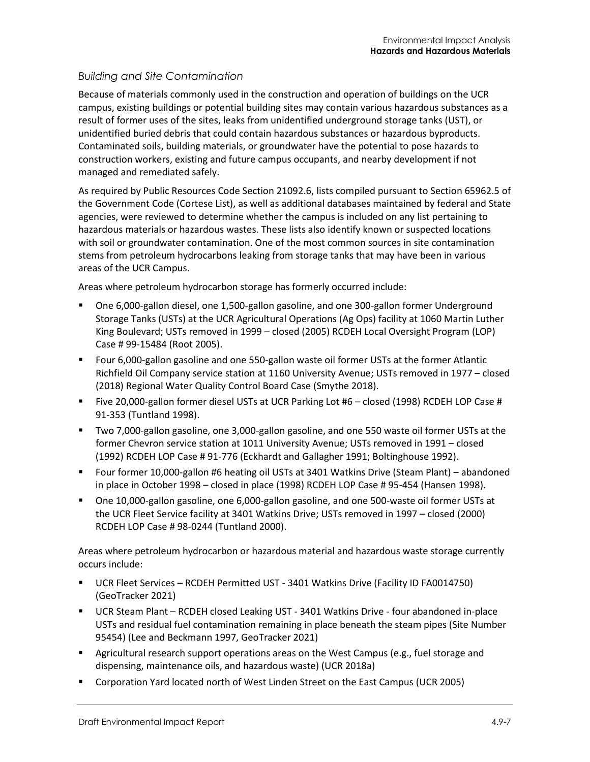#### *Building and Site Contamination*

Because of materials commonly used in the construction and operation of buildings on the UCR campus, existing buildings or potential building sites may contain various hazardous substances as a result of former uses of the sites, leaks from unidentified underground storage tanks (UST), or unidentified buried debris that could contain hazardous substances or hazardous byproducts. Contaminated soils, building materials, or groundwater have the potential to pose hazards to construction workers, existing and future campus occupants, and nearby development if not managed and remediated safely.

As required by Public Resources Code Section 21092.6, lists compiled pursuant to Section 65962.5 of the Government Code (Cortese List), as well as additional databases maintained by federal and State agencies, were reviewed to determine whether the campus is included on any list pertaining to hazardous materials or hazardous wastes. These lists also identify known or suspected locations with soil or groundwater contamination. One of the most common sources in site contamination stems from petroleum hydrocarbons leaking from storage tanks that may have been in various areas of the UCR Campus.

Areas where petroleum hydrocarbon storage has formerly occurred include:

- One 6,000-gallon diesel, one 1,500-gallon gasoline, and one 300-gallon former Underground Storage Tanks (USTs) at the UCR Agricultural Operations (Ag Ops) facility at 1060 Martin Luther King Boulevard; USTs removed in 1999 – closed (2005) RCDEH Local Oversight Program (LOP) Case # 99-15484 (Root 2005).
- Four 6,000-gallon gasoline and one 550-gallon waste oil former USTs at the former Atlantic Richfield Oil Company service station at 1160 University Avenue; USTs removed in 1977 – closed (2018) Regional Water Quality Control Board Case (Smythe 2018).
- Five 20,000-gallon former diesel USTs at UCR Parking Lot #6 closed (1998) RCDEH LOP Case # 91-353 (Tuntland 1998).
- Two 7,000-gallon gasoline, one 3,000-gallon gasoline, and one 550 waste oil former USTs at the former Chevron service station at 1011 University Avenue; USTs removed in 1991 – closed (1992) RCDEH LOP Case # 91-776 (Eckhardt and Gallagher 1991; Boltinghouse 1992).
- Four former 10,000-gallon #6 heating oil USTs at 3401 Watkins Drive (Steam Plant) abandoned in place in October 1998 – closed in place (1998) RCDEH LOP Case # 95-454 (Hansen 1998).
- One 10,000-gallon gasoline, one 6,000-gallon gasoline, and one 500-waste oil former USTs at the UCR Fleet Service facility at 3401 Watkins Drive; USTs removed in 1997 – closed (2000) RCDEH LOP Case # 98-0244 (Tuntland 2000).

Areas where petroleum hydrocarbon or hazardous material and hazardous waste storage currently occurs include:

- UCR Fleet Services RCDEH Permitted UST 3401 Watkins Drive (Facility ID FA0014750) (GeoTracker 2021)
- UCR Steam Plant RCDEH closed Leaking UST 3401 Watkins Drive four abandoned in-place USTs and residual fuel contamination remaining in place beneath the steam pipes (Site Number 95454) (Lee and Beckmann 1997, GeoTracker 2021)
- **EXECT Agricultural research support operations areas on the West Campus (e.g., fuel storage and** dispensing, maintenance oils, and hazardous waste) (UCR 2018a)
- Corporation Yard located north of West Linden Street on the East Campus (UCR 2005)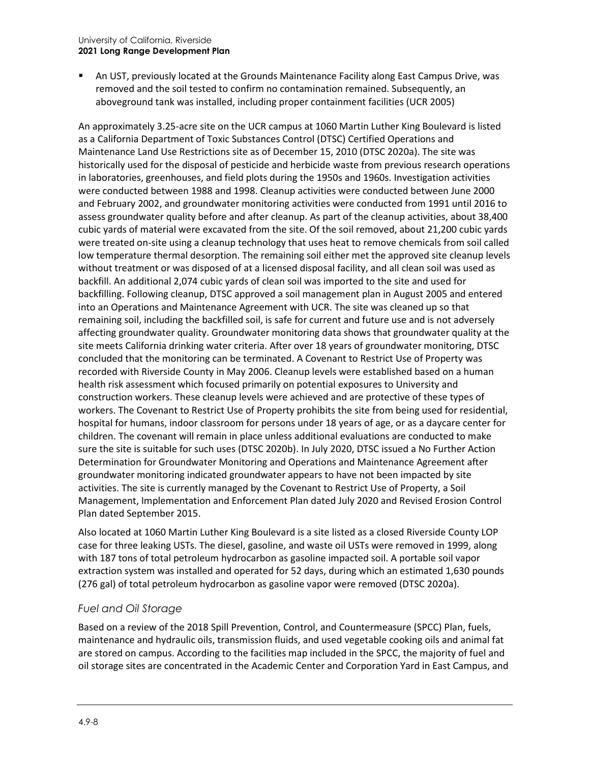#### University of California, Riverside **2021 Long Range Development Plan**

 An UST, previously located at the Grounds Maintenance Facility along East Campus Drive, was removed and the soil tested to confirm no contamination remained. Subsequently, an aboveground tank was installed, including proper containment facilities (UCR 2005)

An approximately 3.25-acre site on the UCR campus at 1060 Martin Luther King Boulevard is listed as a California Department of Toxic Substances Control (DTSC) Certified Operations and Maintenance Land Use Restrictions site as of December 15, 2010 (DTSC 2020a). The site was historically used for the disposal of pesticide and herbicide waste from previous research operations in laboratories, greenhouses, and field plots during the 1950s and 1960s. Investigation activities were conducted between 1988 and 1998. Cleanup activities were conducted between June 2000 and February 2002, and groundwater monitoring activities were conducted from 1991 until 2016 to assess groundwater quality before and after cleanup. As part of the cleanup activities, about 38,400 cubic yards of material were excavated from the site. Of the soil removed, about 21,200 cubic yards were treated on-site using a cleanup technology that uses heat to remove chemicals from soil called low temperature thermal desorption. The remaining soil either met the approved site cleanup levels without treatment or was disposed of at a licensed disposal facility, and all clean soil was used as backfill. An additional 2,074 cubic yards of clean soil was imported to the site and used for backfilling. Following cleanup, DTSC approved a soil management plan in August 2005 and entered into an Operations and Maintenance Agreement with UCR. The site was cleaned up so that remaining soil, including the backfilled soil, is safe for current and future use and is not adversely affecting groundwater quality. Groundwater monitoring data shows that groundwater quality at the site meets California drinking water criteria. After over 18 years of groundwater monitoring, DTSC concluded that the monitoring can be terminated. A Covenant to Restrict Use of Property was recorded with Riverside County in May 2006. Cleanup levels were established based on a human health risk assessment which focused primarily on potential exposures to University and construction workers. These cleanup levels were achieved and are protective of these types of workers. The Covenant to Restrict Use of Property prohibits the site from being used for residential, hospital for humans, indoor classroom for persons under 18 years of age, or as a daycare center for children. The covenant will remain in place unless additional evaluations are conducted to make sure the site is suitable for such uses (DTSC 2020b). In July 2020, DTSC issued a No Further Action Determination for Groundwater Monitoring and Operations and Maintenance Agreement after groundwater monitoring indicated groundwater appears to have not been impacted by site activities. The site is currently managed by the Covenant to Restrict Use of Property, a Soil Management, Implementation and Enforcement Plan dated July 2020 and Revised Erosion Control Plan dated September 2015.

Also located at 1060 Martin Luther King Boulevard is a site listed as a closed Riverside County LOP case for three leaking USTs. The diesel, gasoline, and waste oil USTs were removed in 1999, along with 187 tons of total petroleum hydrocarbon as gasoline impacted soil. A portable soil vapor extraction system was installed and operated for 52 days, during which an estimated 1,630 pounds (276 gal) of total petroleum hydrocarbon as gasoline vapor were removed (DTSC 2020a).

# *Fuel and Oil Storage*

Based on a review of the 2018 Spill Prevention, Control, and Countermeasure (SPCC) Plan, fuels, maintenance and hydraulic oils, transmission fluids, and used vegetable cooking oils and animal fat are stored on campus. According to the facilities map included in the SPCC, the majority of fuel and oil storage sites are concentrated in the Academic Center and Corporation Yard in East Campus, and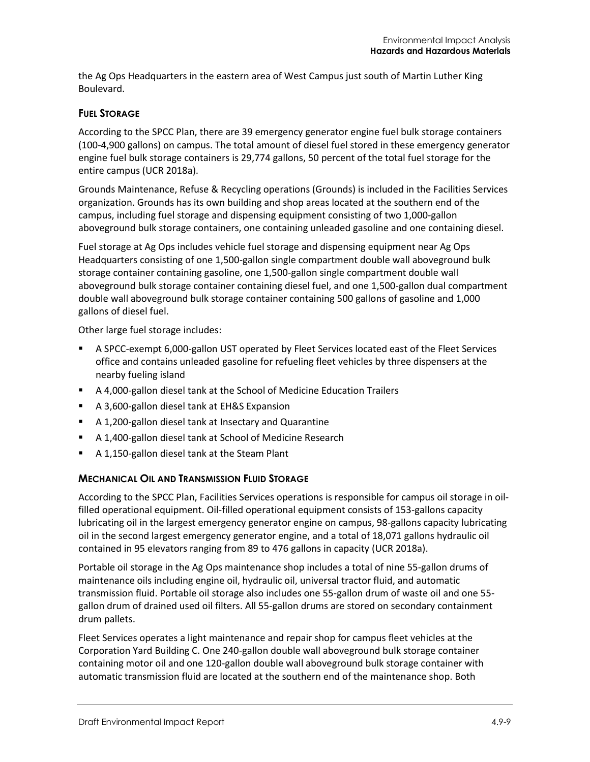the Ag Ops Headquarters in the eastern area of West Campus just south of Martin Luther King Boulevard.

#### **FUEL STORAGE**

According to the SPCC Plan, there are 39 emergency generator engine fuel bulk storage containers (100-4,900 gallons) on campus. The total amount of diesel fuel stored in these emergency generator engine fuel bulk storage containers is 29,774 gallons, 50 percent of the total fuel storage for the entire campus (UCR 2018a).

Grounds Maintenance, Refuse & Recycling operations (Grounds) is included in the Facilities Services organization. Grounds has its own building and shop areas located at the southern end of the campus, including fuel storage and dispensing equipment consisting of two 1,000-gallon aboveground bulk storage containers, one containing unleaded gasoline and one containing diesel.

Fuel storage at Ag Ops includes vehicle fuel storage and dispensing equipment near Ag Ops Headquarters consisting of one 1,500-gallon single compartment double wall aboveground bulk storage container containing gasoline, one 1,500-gallon single compartment double wall aboveground bulk storage container containing diesel fuel, and one 1,500-gallon dual compartment double wall aboveground bulk storage container containing 500 gallons of gasoline and 1,000 gallons of diesel fuel.

Other large fuel storage includes:

- A SPCC-exempt 6,000-gallon UST operated by Fleet Services located east of the Fleet Services office and contains unleaded gasoline for refueling fleet vehicles by three dispensers at the nearby fueling island
- A 4,000-gallon diesel tank at the School of Medicine Education Trailers
- A 3,600-gallon diesel tank at EH&S Expansion
- A 1,200-gallon diesel tank at Insectary and Quarantine
- A 1,400-gallon diesel tank at School of Medicine Research
- A 1,150-gallon diesel tank at the Steam Plant

#### **MECHANICAL OIL AND TRANSMISSION FLUID STORAGE**

According to the SPCC Plan, Facilities Services operations is responsible for campus oil storage in oilfilled operational equipment. Oil-filled operational equipment consists of 153-gallons capacity lubricating oil in the largest emergency generator engine on campus, 98-gallons capacity lubricating oil in the second largest emergency generator engine, and a total of 18,071 gallons hydraulic oil contained in 95 elevators ranging from 89 to 476 gallons in capacity (UCR 2018a).

Portable oil storage in the Ag Ops maintenance shop includes a total of nine 55-gallon drums of maintenance oils including engine oil, hydraulic oil, universal tractor fluid, and automatic transmission fluid. Portable oil storage also includes one 55-gallon drum of waste oil and one 55 gallon drum of drained used oil filters. All 55-gallon drums are stored on secondary containment drum pallets.

Fleet Services operates a light maintenance and repair shop for campus fleet vehicles at the Corporation Yard Building C. One 240-gallon double wall aboveground bulk storage container containing motor oil and one 120-gallon double wall aboveground bulk storage container with automatic transmission fluid are located at the southern end of the maintenance shop. Both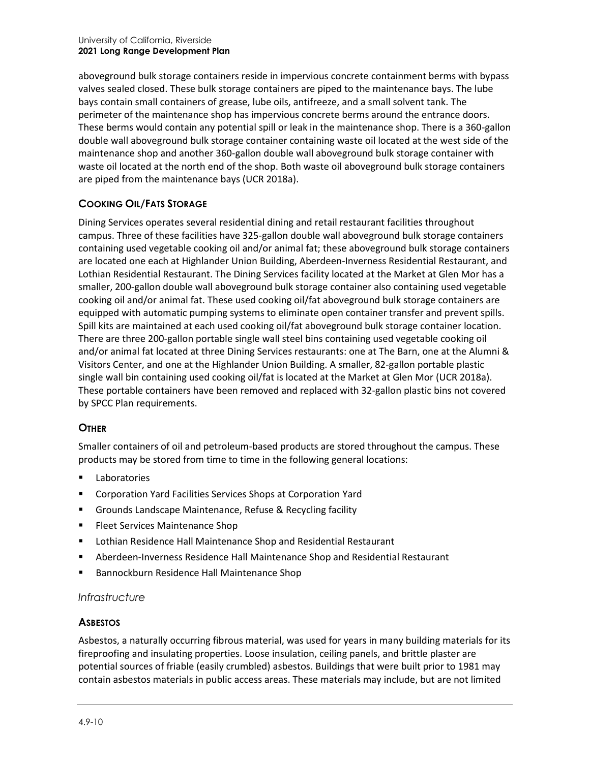aboveground bulk storage containers reside in impervious concrete containment berms with bypass valves sealed closed. These bulk storage containers are piped to the maintenance bays. The lube bays contain small containers of grease, lube oils, antifreeze, and a small solvent tank. The perimeter of the maintenance shop has impervious concrete berms around the entrance doors. These berms would contain any potential spill or leak in the maintenance shop. There is a 360-gallon double wall aboveground bulk storage container containing waste oil located at the west side of the maintenance shop and another 360-gallon double wall aboveground bulk storage container with waste oil located at the north end of the shop. Both waste oil aboveground bulk storage containers are piped from the maintenance bays (UCR 2018a).

#### **COOKING OIL/FATS STORAGE**

Dining Services operates several residential dining and retail restaurant facilities throughout campus. Three of these facilities have 325-gallon double wall aboveground bulk storage containers containing used vegetable cooking oil and/or animal fat; these aboveground bulk storage containers are located one each at Highlander Union Building, Aberdeen-Inverness Residential Restaurant, and Lothian Residential Restaurant. The Dining Services facility located at the Market at Glen Mor has a smaller, 200-gallon double wall aboveground bulk storage container also containing used vegetable cooking oil and/or animal fat. These used cooking oil/fat aboveground bulk storage containers are equipped with automatic pumping systems to eliminate open container transfer and prevent spills. Spill kits are maintained at each used cooking oil/fat aboveground bulk storage container location. There are three 200-gallon portable single wall steel bins containing used vegetable cooking oil and/or animal fat located at three Dining Services restaurants: one at The Barn, one at the Alumni & Visitors Center, and one at the Highlander Union Building. A smaller, 82-gallon portable plastic single wall bin containing used cooking oil/fat is located at the Market at Glen Mor (UCR 2018a). These portable containers have been removed and replaced with 32-gallon plastic bins not covered by SPCC Plan requirements.

#### **OTHER**

Smaller containers of oil and petroleum-based products are stored throughout the campus. These products may be stored from time to time in the following general locations:

- Laboratories
- Corporation Yard Facilities Services Shops at Corporation Yard
- Grounds Landscape Maintenance, Refuse & Recycling facility
- **FILER** Fleet Services Maintenance Shop
- Lothian Residence Hall Maintenance Shop and Residential Restaurant
- Aberdeen-Inverness Residence Hall Maintenance Shop and Residential Restaurant
- Bannockburn Residence Hall Maintenance Shop

#### *Infrastructure*

#### **ASBESTOS**

Asbestos, a naturally occurring fibrous material, was used for years in many building materials for its fireproofing and insulating properties. Loose insulation, ceiling panels, and brittle plaster are potential sources of friable (easily crumbled) asbestos. Buildings that were built prior to 1981 may contain asbestos materials in public access areas. These materials may include, but are not limited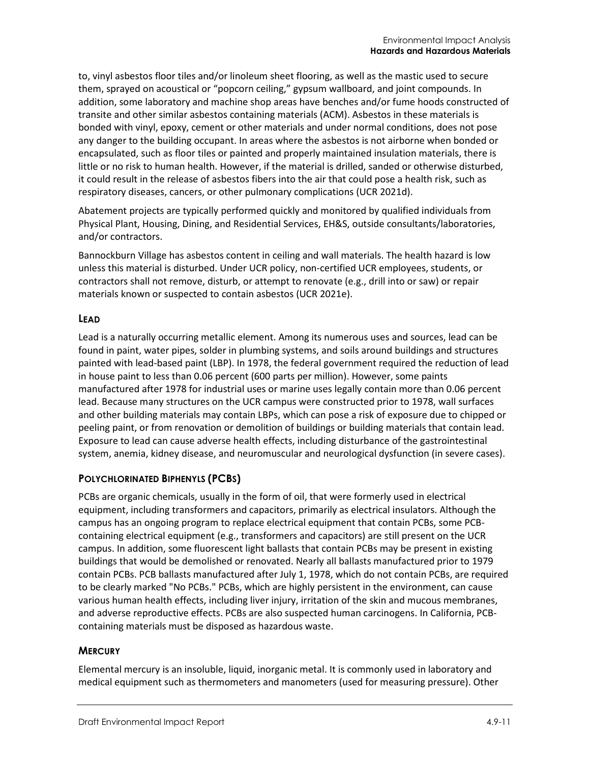to, vinyl asbestos floor tiles and/or linoleum sheet flooring, as well as the mastic used to secure them, sprayed on acoustical or "popcorn ceiling," gypsum wallboard, and joint compounds. In addition, some laboratory and machine shop areas have benches and/or fume hoods constructed of transite and other similar asbestos containing materials (ACM). Asbestos in these materials is bonded with vinyl, epoxy, cement or other materials and under normal conditions, does not pose any danger to the building occupant. In areas where the asbestos is not airborne when bonded or encapsulated, such as floor tiles or painted and properly maintained insulation materials, there is little or no risk to human health. However, if the material is drilled, sanded or otherwise disturbed, it could result in the release of asbestos fibers into the air that could pose a health risk, such as respiratory diseases, cancers, or other pulmonary complications (UCR 2021d).

Abatement projects are typically performed quickly and monitored by qualified individuals from Physical Plant, Housing, Dining, and Residential Services, EH&S, outside consultants/laboratories, and/or contractors.

Bannockburn Village has asbestos content in ceiling and wall materials. The health hazard is low unless this material is disturbed. Under UCR policy, non-certified UCR employees, students, or contractors shall not remove, disturb, or attempt to renovate (e.g., drill into or saw) or repair materials known or suspected to contain asbestos (UCR 2021e).

#### **LEAD**

Lead is a naturally occurring metallic element. Among its numerous uses and sources, lead can be found in paint, water pipes, solder in plumbing systems, and soils around buildings and structures painted with lead-based paint (LBP). In 1978, the federal government required the reduction of lead in house paint to less than 0.06 percent (600 parts per million). However, some paints manufactured after 1978 for industrial uses or marine uses legally contain more than 0.06 percent lead. Because many structures on the UCR campus were constructed prior to 1978, wall surfaces and other building materials may contain LBPs, which can pose a risk of exposure due to chipped or peeling paint, or from renovation or demolition of buildings or building materials that contain lead. Exposure to lead can cause adverse health effects, including disturbance of the gastrointestinal system, anemia, kidney disease, and neuromuscular and neurological dysfunction (in severe cases).

#### **POLYCHLORINATED BIPHENYLS (PCBS)**

PCBs are organic chemicals, usually in the form of oil, that were formerly used in electrical equipment, including transformers and capacitors, primarily as electrical insulators. Although the campus has an ongoing program to replace electrical equipment that contain PCBs, some PCBcontaining electrical equipment (e.g., transformers and capacitors) are still present on the UCR campus. In addition, some fluorescent light ballasts that contain PCBs may be present in existing buildings that would be demolished or renovated. Nearly all ballasts manufactured prior to 1979 contain PCBs. PCB ballasts manufactured after July 1, 1978, which do not contain PCBs, are required to be clearly marked "No PCBs." PCBs, which are highly persistent in the environment, can cause various human health effects, including liver injury, irritation of the skin and mucous membranes, and adverse reproductive effects. PCBs are also suspected human carcinogens. In California, PCBcontaining materials must be disposed as hazardous waste.

#### **MERCURY**

Elemental mercury is an insoluble, liquid, inorganic metal. It is commonly used in laboratory and medical equipment such as thermometers and manometers (used for measuring pressure). Other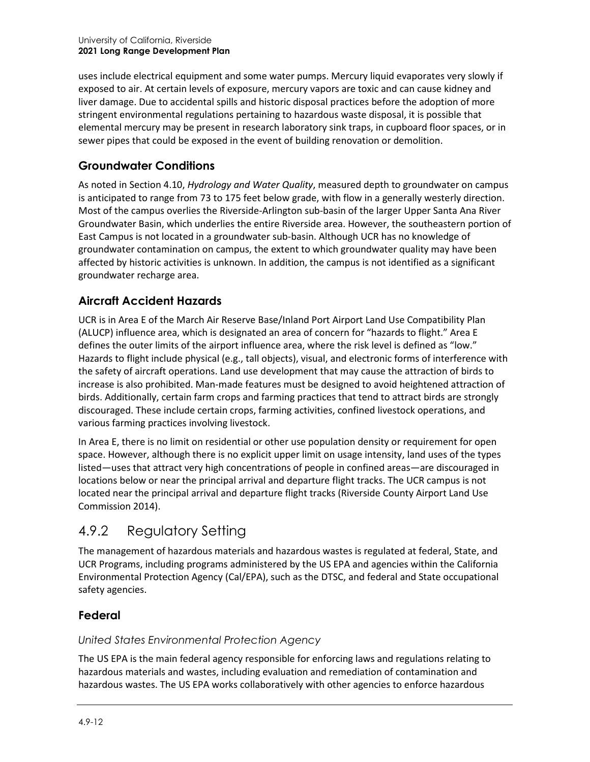uses include electrical equipment and some water pumps. Mercury liquid evaporates very slowly if exposed to air. At certain levels of exposure, mercury vapors are toxic and can cause kidney and liver damage. Due to accidental spills and historic disposal practices before the adoption of more stringent environmental regulations pertaining to hazardous waste disposal, it is possible that elemental mercury may be present in research laboratory sink traps, in cupboard floor spaces, or in sewer pipes that could be exposed in the event of building renovation or demolition.

# **Groundwater Conditions**

As noted in Section 4.10, *Hydrology and Water Quality*, measured depth to groundwater on campus is anticipated to range from 73 to 175 feet below grade, with flow in a generally westerly direction. Most of the campus overlies the Riverside-Arlington sub-basin of the larger Upper Santa Ana River Groundwater Basin, which underlies the entire Riverside area. However, the southeastern portion of East Campus is not located in a groundwater sub-basin. Although UCR has no knowledge of groundwater contamination on campus, the extent to which groundwater quality may have been affected by historic activities is unknown. In addition, the campus is not identified as a significant groundwater recharge area.

# **Aircraft Accident Hazards**

UCR is in Area E of the March Air Reserve Base/Inland Port Airport Land Use Compatibility Plan (ALUCP) influence area, which is designated an area of concern for "hazards to flight." Area E defines the outer limits of the airport influence area, where the risk level is defined as "low." Hazards to flight include physical (e.g., tall objects), visual, and electronic forms of interference with the safety of aircraft operations. Land use development that may cause the attraction of birds to increase is also prohibited. Man-made features must be designed to avoid heightened attraction of birds. Additionally, certain farm crops and farming practices that tend to attract birds are strongly discouraged. These include certain crops, farming activities, confined livestock operations, and various farming practices involving livestock.

In Area E, there is no limit on residential or other use population density or requirement for open space. However, although there is no explicit upper limit on usage intensity, land uses of the types listed—uses that attract very high concentrations of people in confined areas—are discouraged in locations below or near the principal arrival and departure flight tracks. The UCR campus is not located near the principal arrival and departure flight tracks (Riverside County Airport Land Use Commission 2014).

# 4.9.2 Regulatory Setting

The management of hazardous materials and hazardous wastes is regulated at federal, State, and UCR Programs, including programs administered by the US EPA and agencies within the California Environmental Protection Agency (Cal/EPA), such as the DTSC, and federal and State occupational safety agencies.

# **Federal**

# *United States Environmental Protection Agency*

The US EPA is the main federal agency responsible for enforcing laws and regulations relating to hazardous materials and wastes, including evaluation and remediation of contamination and hazardous wastes. The US EPA works collaboratively with other agencies to enforce hazardous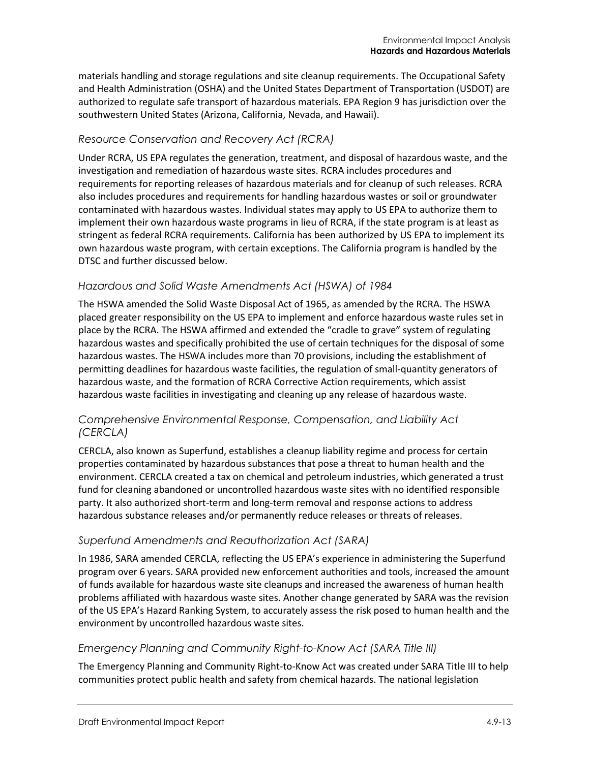materials handling and storage regulations and site cleanup requirements. The Occupational Safety and Health Administration (OSHA) and the United States Department of Transportation (USDOT) are authorized to regulate safe transport of hazardous materials. EPA Region 9 has jurisdiction over the southwestern United States (Arizona, California, Nevada, and Hawaii).

#### *Resource Conservation and Recovery Act (RCRA)*

Under RCRA, US EPA regulates the generation, treatment, and disposal of hazardous waste, and the investigation and remediation of hazardous waste sites. RCRA includes procedures and requirements for reporting releases of hazardous materials and for cleanup of such releases. RCRA also includes procedures and requirements for handling hazardous wastes or soil or groundwater contaminated with hazardous wastes. Individual states may apply to US EPA to authorize them to implement their own hazardous waste programs in lieu of RCRA, if the state program is at least as stringent as federal RCRA requirements. California has been authorized by US EPA to implement its own hazardous waste program, with certain exceptions. The California program is handled by the DTSC and further discussed below.

#### *Hazardous and Solid Waste Amendments Act (HSWA) of 1984*

The HSWA amended the Solid Waste Disposal Act of 1965, as amended by the RCRA. The HSWA placed greater responsibility on the US EPA to implement and enforce hazardous waste rules set in place by the RCRA. The HSWA affirmed and extended the "cradle to grave" system of regulating hazardous wastes and specifically prohibited the use of certain techniques for the disposal of some hazardous wastes. The HSWA includes more than 70 provisions, including the establishment of permitting deadlines for hazardous waste facilities, the regulation of small-quantity generators of hazardous waste, and the formation of RCRA Corrective Action requirements, which assist hazardous waste facilities in investigating and cleaning up any release of hazardous waste.

#### *Comprehensive Environmental Response, Compensation, and Liability Act (CERCLA)*

CERCLA, also known as Superfund, establishes a cleanup liability regime and process for certain properties contaminated by hazardous substances that pose a threat to human health and the environment. CERCLA created a tax on chemical and petroleum industries, which generated a trust fund for cleaning abandoned or uncontrolled hazardous waste sites with no identified responsible party. It also authorized short-term and long-term removal and response actions to address hazardous substance releases and/or permanently reduce releases or threats of releases.

#### *Superfund Amendments and Reauthorization Act (SARA)*

In 1986, SARA amended CERCLA, reflecting the US EPA's experience in administering the Superfund program over 6 years. SARA provided new enforcement authorities and tools, increased the amount of funds available for hazardous waste site cleanups and increased the awareness of human health problems affiliated with hazardous waste sites. Another change generated by SARA was the revision of the US EPA's Hazard Ranking System, to accurately assess the risk posed to human health and the environment by uncontrolled hazardous waste sites.

#### *Emergency Planning and Community Right-to-Know Act (SARA Title III)*

The Emergency Planning and Community Right-to-Know Act was created under SARA Title III to help communities protect public health and safety from chemical hazards. The national legislation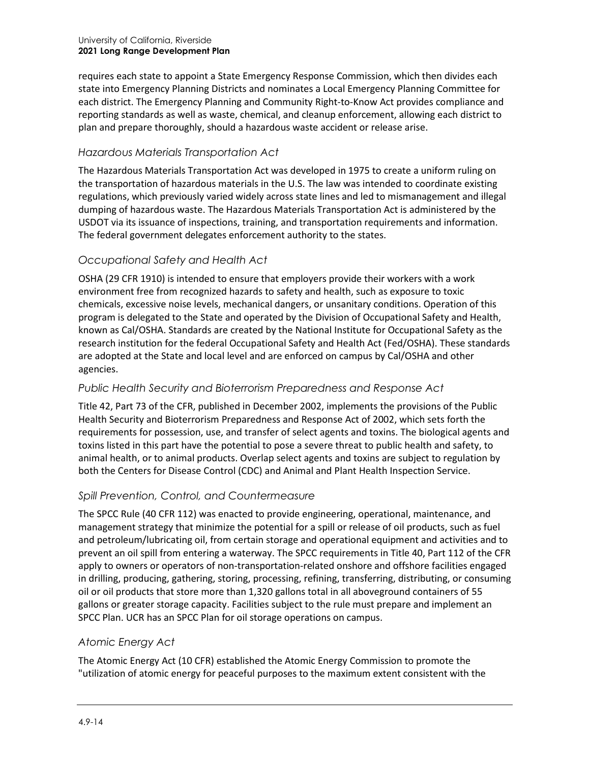requires each state to appoint a State Emergency Response Commission, which then divides each state into Emergency Planning Districts and nominates a Local Emergency Planning Committee for each district. The Emergency Planning and Community Right-to-Know Act provides compliance and reporting standards as well as waste, chemical, and cleanup enforcement, allowing each district to plan and prepare thoroughly, should a hazardous waste accident or release arise.

#### *Hazardous Materials Transportation Act*

The Hazardous Materials Transportation Act was developed in 1975 to create a uniform ruling on the transportation of hazardous materials in the U.S. The law was intended to coordinate existing regulations, which previously varied widely across state lines and led to mismanagement and illegal dumping of hazardous waste. The Hazardous Materials Transportation Act is administered by the USDOT via its issuance of inspections, training, and transportation requirements and information. The federal government delegates enforcement authority to the states.

# *Occupational Safety and Health Act*

OSHA (29 CFR 1910) is intended to ensure that employers provide their workers with a work environment free from recognized hazards to safety and health, such as exposure to toxic chemicals, excessive noise levels, mechanical dangers, or unsanitary conditions. Operation of this program is delegated to the State and operated by the Division of Occupational Safety and Health, known as Cal/OSHA. Standards are created by the National Institute for Occupational Safety as the research institution for the federal Occupational Safety and Health Act (Fed/OSHA). These standards are adopted at the State and local level and are enforced on campus by Cal/OSHA and other agencies.

# *Public Health Security and Bioterrorism Preparedness and Response Act*

Title 42, Part 73 of the CFR, published in December 2002, implements the provisions of the Public Health Security and Bioterrorism Preparedness and Response Act of 2002, which sets forth the requirements for possession, use, and transfer of select agents and toxins. The biological agents and toxins listed in this part have the potential to pose a severe threat to public health and safety, to animal health, or to animal products. Overlap select agents and toxins are subject to regulation by both the Centers for Disease Control (CDC) and Animal and Plant Health Inspection Service.

# *Spill Prevention, Control, and Countermeasure*

The SPCC Rule (40 CFR 112) was enacted to provide engineering, operational, maintenance, and management strategy that minimize the potential for a spill or release of oil products, such as fuel and petroleum/lubricating oil, from certain storage and operational equipment and activities and to prevent an oil spill from entering a waterway. The SPCC requirements in Title 40, Part 112 of the CFR apply to owners or operators of non-transportation-related onshore and offshore facilities engaged in drilling, producing, gathering, storing, processing, refining, transferring, distributing, or consuming oil or oil products that store more than 1,320 gallons total in all aboveground containers of 55 gallons or greater storage capacity. Facilities subject to the rule must prepare and implement an SPCC Plan. UCR has an SPCC Plan for oil storage operations on campus.

#### *Atomic Energy Act*

The Atomic Energy Act (10 CFR) established the Atomic Energy Commission to promote the "utilization of atomic energy for peaceful purposes to the maximum extent consistent with the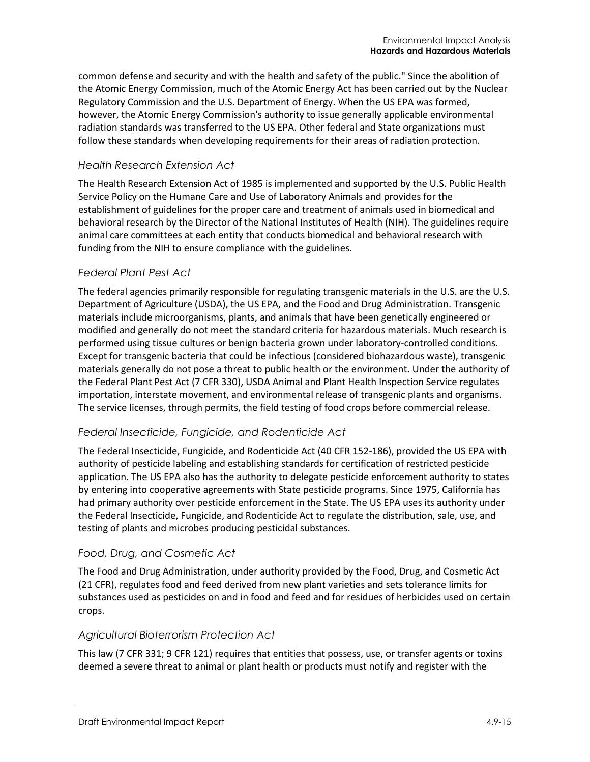common defense and security and with the health and safety of the public." Since the abolition of the Atomic Energy Commission, much of the Atomic Energy Act has been carried out by the Nuclear Regulatory Commission and the U.S. Department of Energy. When the US EPA was formed, however, the Atomic Energy Commission's authority to issue generally applicable environmental radiation standards was transferred to the US EPA. Other federal and State organizations must follow these standards when developing requirements for their areas of radiation protection.

#### *Health Research Extension Act*

The Health Research Extension Act of 1985 is implemented and supported by the U.S. Public Health Service Policy on the Humane Care and Use of Laboratory Animals and provides for the establishment of guidelines for the proper care and treatment of animals used in biomedical and behavioral research by the Director of the National Institutes of Health (NIH). The guidelines require animal care committees at each entity that conducts biomedical and behavioral research with funding from the NIH to ensure compliance with the guidelines.

#### *Federal Plant Pest Act*

The federal agencies primarily responsible for regulating transgenic materials in the U.S. are the U.S. Department of Agriculture (USDA), the US EPA, and the Food and Drug Administration. Transgenic materials include microorganisms, plants, and animals that have been genetically engineered or modified and generally do not meet the standard criteria for hazardous materials. Much research is performed using tissue cultures or benign bacteria grown under laboratory-controlled conditions. Except for transgenic bacteria that could be infectious (considered biohazardous waste), transgenic materials generally do not pose a threat to public health or the environment. Under the authority of the Federal Plant Pest Act (7 CFR 330), USDA Animal and Plant Health Inspection Service regulates importation, interstate movement, and environmental release of transgenic plants and organisms. The service licenses, through permits, the field testing of food crops before commercial release.

#### *Federal Insecticide, Fungicide, and Rodenticide Act*

The Federal Insecticide, Fungicide, and Rodenticide Act (40 CFR 152-186), provided the US EPA with authority of pesticide labeling and establishing standards for certification of restricted pesticide application. The US EPA also has the authority to delegate pesticide enforcement authority to states by entering into cooperative agreements with State pesticide programs. Since 1975, California has had primary authority over pesticide enforcement in the State. The US EPA uses its authority under the Federal Insecticide, Fungicide, and Rodenticide Act to regulate the distribution, sale, use, and testing of plants and microbes producing pesticidal substances.

# *Food, Drug, and Cosmetic Act*

The Food and Drug Administration, under authority provided by the Food, Drug, and Cosmetic Act (21 CFR), regulates food and feed derived from new plant varieties and sets tolerance limits for substances used as pesticides on and in food and feed and for residues of herbicides used on certain crops.

#### *Agricultural Bioterrorism Protection Act*

This law (7 CFR 331; 9 CFR 121) requires that entities that possess, use, or transfer agents or toxins deemed a severe threat to animal or plant health or products must notify and register with the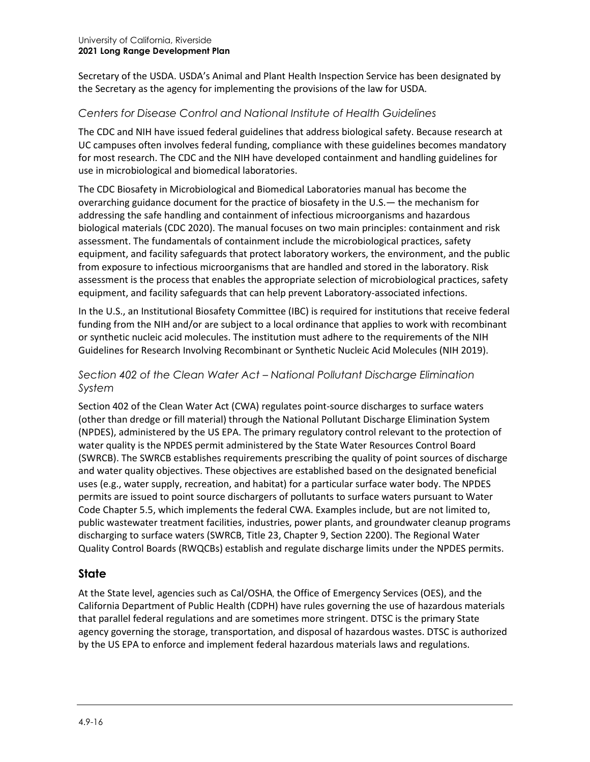Secretary of the USDA. USDA's Animal and Plant Health Inspection Service has been designated by the Secretary as the agency for implementing the provisions of the law for USDA.

# *Centers for Disease Control and National Institute of Health Guidelines*

The CDC and NIH have issued federal guidelines that address biological safety. Because research at UC campuses often involves federal funding, compliance with these guidelines becomes mandatory for most research. The CDC and the NIH have developed containment and handling guidelines for use in microbiological and biomedical laboratories.

The CDC Biosafety in Microbiological and Biomedical Laboratories manual has become the overarching guidance document for the practice of biosafety in the U.S.— the mechanism for addressing the safe handling and containment of infectious microorganisms and hazardous biological materials (CDC 2020). The manual focuses on two main principles: containment and risk assessment. The fundamentals of containment include the microbiological practices, safety equipment, and facility safeguards that protect laboratory workers, the environment, and the public from exposure to infectious microorganisms that are handled and stored in the laboratory. Risk assessment is the process that enables the appropriate selection of microbiological practices, safety equipment, and facility safeguards that can help prevent Laboratory-associated infections.

In the U.S., an Institutional Biosafety Committee (IBC) is required for institutions that receive federal funding from the NIH and/or are subject to a local ordinance that applies to work with recombinant or synthetic nucleic acid molecules. The institution must adhere to the requirements of the NIH Guidelines for Research Involving Recombinant or Synthetic Nucleic Acid Molecules (NIH 2019).

#### *Section 402 of the Clean Water Act – National Pollutant Discharge Elimination System*

Section 402 of the Clean Water Act (CWA) regulates point-source discharges to surface waters (other than dredge or fill material) through the National Pollutant Discharge Elimination System (NPDES), administered by the US EPA. The primary regulatory control relevant to the protection of water quality is the NPDES permit administered by the State Water Resources Control Board (SWRCB). The SWRCB establishes requirements prescribing the quality of point sources of discharge and water quality objectives. These objectives are established based on the designated beneficial uses (e.g., water supply, recreation, and habitat) for a particular surface water body. The NPDES permits are issued to point source dischargers of pollutants to surface waters pursuant to Water Code Chapter 5.5, which implements the federal CWA. Examples include, but are not limited to, public wastewater treatment facilities, industries, power plants, and groundwater cleanup programs discharging to surface waters (SWRCB, Title 23, Chapter 9, Section 2200). The Regional Water Quality Control Boards (RWQCBs) establish and regulate discharge limits under the NPDES permits.

# **State**

At the State level, agencies such as Cal/OSHA, the Office of Emergency Services (OES), and the California Department of Public Health (CDPH) have rules governing the use of hazardous materials that parallel federal regulations and are sometimes more stringent. DTSC is the primary State agency governing the storage, transportation, and disposal of hazardous wastes. DTSC is authorized by the US EPA to enforce and implement federal hazardous materials laws and regulations.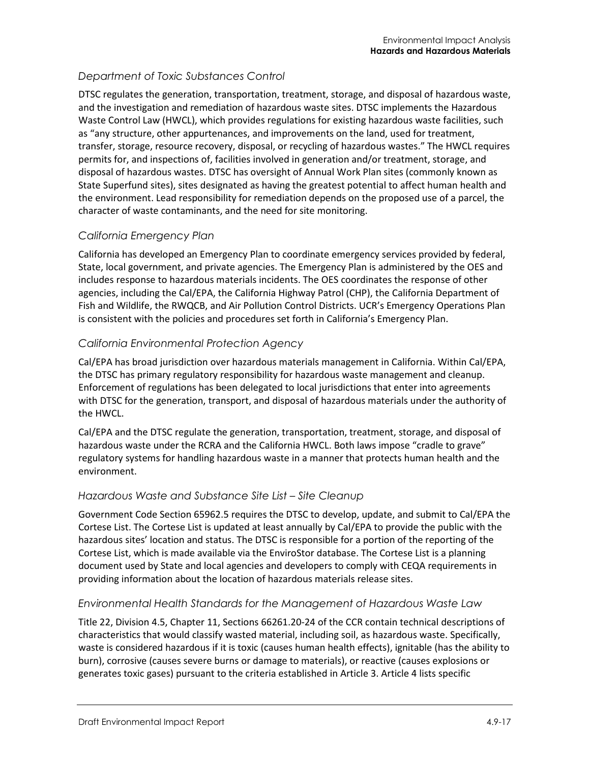# *Department of Toxic Substances Control*

DTSC regulates the generation, transportation, treatment, storage, and disposal of hazardous waste, and the investigation and remediation of hazardous waste sites. DTSC implements the Hazardous Waste Control Law (HWCL), which provides regulations for existing hazardous waste facilities, such as "any structure, other appurtenances, and improvements on the land, used for treatment, transfer, storage, resource recovery, disposal, or recycling of hazardous wastes." The HWCL requires permits for, and inspections of, facilities involved in generation and/or treatment, storage, and disposal of hazardous wastes. DTSC has oversight of Annual Work Plan sites (commonly known as State Superfund sites), sites designated as having the greatest potential to affect human health and the environment. Lead responsibility for remediation depends on the proposed use of a parcel, the character of waste contaminants, and the need for site monitoring.

# *California Emergency Plan*

California has developed an Emergency Plan to coordinate emergency services provided by federal, State, local government, and private agencies. The Emergency Plan is administered by the OES and includes response to hazardous materials incidents. The OES coordinates the response of other agencies, including the Cal/EPA, the California Highway Patrol (CHP), the California Department of Fish and Wildlife, the RWQCB, and Air Pollution Control Districts. UCR's Emergency Operations Plan is consistent with the policies and procedures set forth in California's Emergency Plan.

# *California Environmental Protection Agency*

Cal/EPA has broad jurisdiction over hazardous materials management in California. Within Cal/EPA, the DTSC has primary regulatory responsibility for hazardous waste management and cleanup. Enforcement of regulations has been delegated to local jurisdictions that enter into agreements with DTSC for the generation, transport, and disposal of hazardous materials under the authority of the HWCL.

Cal/EPA and the DTSC regulate the generation, transportation, treatment, storage, and disposal of hazardous waste under the RCRA and the California HWCL. Both laws impose "cradle to grave" regulatory systems for handling hazardous waste in a manner that protects human health and the environment.

# *Hazardous Waste and Substance Site List – Site Cleanup*

Government Code Section 65962.5 requires the DTSC to develop, update, and submit to Cal/EPA the Cortese List. The Cortese List is updated at least annually by Cal/EPA to provide the public with the hazardous sites' location and status. The DTSC is responsible for a portion of the reporting of the Cortese List, which is made available via the EnviroStor database. The Cortese List is a planning document used by State and local agencies and developers to comply with CEQA requirements in providing information about the location of hazardous materials release sites.

#### *Environmental Health Standards for the Management of Hazardous Waste Law*

Title 22, Division 4.5, Chapter 11, Sections 66261.20-24 of the CCR contain technical descriptions of characteristics that would classify wasted material, including soil, as hazardous waste. Specifically, waste is considered hazardous if it is toxic (causes human health effects), ignitable (has the ability to burn), corrosive (causes severe burns or damage to materials), or reactive (causes explosions or generates toxic gases) pursuant to the criteria established in Article 3. Article 4 lists specific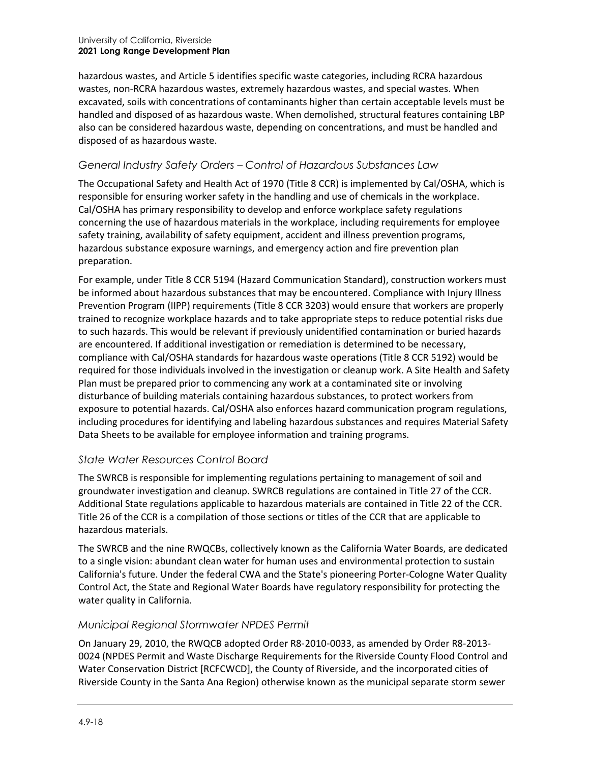#### University of California, Riverside **2021 Long Range Development Plan**

hazardous wastes, and Article 5 identifies specific waste categories, including RCRA hazardous wastes, non-RCRA hazardous wastes, extremely hazardous wastes, and special wastes. When excavated, soils with concentrations of contaminants higher than certain acceptable levels must be handled and disposed of as hazardous waste. When demolished, structural features containing LBP also can be considered hazardous waste, depending on concentrations, and must be handled and disposed of as hazardous waste.

#### *General Industry Safety Orders – Control of Hazardous Substances Law*

The Occupational Safety and Health Act of 1970 (Title 8 CCR) is implemented by Cal/OSHA, which is responsible for ensuring worker safety in the handling and use of chemicals in the workplace. Cal/OSHA has primary responsibility to develop and enforce workplace safety regulations concerning the use of hazardous materials in the workplace, including requirements for employee safety training, availability of safety equipment, accident and illness prevention programs, hazardous substance exposure warnings, and emergency action and fire prevention plan preparation.

For example, under Title 8 CCR 5194 (Hazard Communication Standard), construction workers must be informed about hazardous substances that may be encountered. Compliance with Injury Illness Prevention Program (IIPP) requirements (Title 8 CCR 3203) would ensure that workers are properly trained to recognize workplace hazards and to take appropriate steps to reduce potential risks due to such hazards. This would be relevant if previously unidentified contamination or buried hazards are encountered. If additional investigation or remediation is determined to be necessary, compliance with Cal/OSHA standards for hazardous waste operations (Title 8 CCR 5192) would be required for those individuals involved in the investigation or cleanup work. A Site Health and Safety Plan must be prepared prior to commencing any work at a contaminated site or involving disturbance of building materials containing hazardous substances, to protect workers from exposure to potential hazards. Cal/OSHA also enforces hazard communication program regulations, including procedures for identifying and labeling hazardous substances and requires Material Safety Data Sheets to be available for employee information and training programs.

#### *State Water Resources Control Board*

The SWRCB is responsible for implementing regulations pertaining to management of soil and groundwater investigation and cleanup. SWRCB regulations are contained in Title 27 of the CCR. Additional State regulations applicable to hazardous materials are contained in Title 22 of the CCR. Title 26 of the CCR is a compilation of those sections or titles of the CCR that are applicable to hazardous materials.

The SWRCB and the nine RWQCBs, collectively known as the California Water Boards, are dedicated to a single vision: abundant clean water for human uses and environmental protection to sustain California's future. Under the federal CWA and the State's pioneering Porter-Cologne Water Quality Control Act, the State and Regional Water Boards have regulatory responsibility for protecting the water quality in California.

#### *Municipal Regional Stormwater NPDES Permit*

On January 29, 2010, the RWQCB adopted Order R8‐2010‐0033, as amended by Order R8-2013- 0024 (NPDES Permit and Waste Discharge Requirements for the Riverside County Flood Control and Water Conservation District [RCFCWCD], the County of Riverside, and the incorporated cities of Riverside County in the Santa Ana Region) otherwise known as the municipal separate storm sewer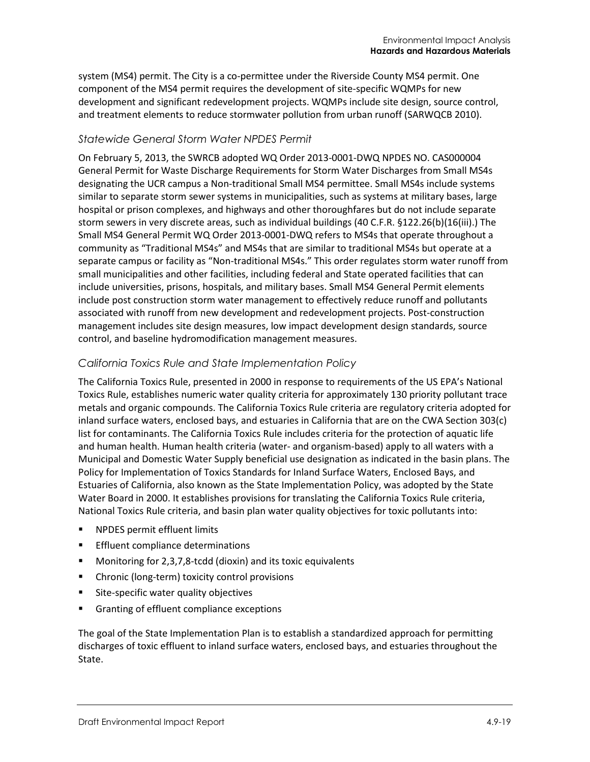system (MS4) permit. The City is a co-permittee under the Riverside County MS4 permit. One component of the MS4 permit requires the development of site-specific WQMPs for new development and significant redevelopment projects. WQMPs include site design, source control, and treatment elements to reduce stormwater pollution from urban runoff (SARWQCB 2010).

#### *Statewide General Storm Water NPDES Permit*

On February 5, 2013, the SWRCB adopted WQ Order 2013-0001-DWQ NPDES NO. CAS000004 General Permit for Waste Discharge Requirements for Storm Water Discharges from Small MS4s designating the UCR campus a Non-traditional Small MS4 permittee. Small MS4s include systems similar to separate storm sewer systems in municipalities, such as systems at military bases, large hospital or prison complexes, and highways and other thoroughfares but do not include separate storm sewers in very discrete areas, such as individual buildings (40 C.F.R. §122.26(b)(16(iii).) The Small MS4 General Permit WQ Order 2013-0001-DWQ refers to MS4s that operate throughout a community as "Traditional MS4s" and MS4s that are similar to traditional MS4s but operate at a separate campus or facility as "Non-traditional MS4s." This order regulates storm water runoff from small municipalities and other facilities, including federal and State operated facilities that can include universities, prisons, hospitals, and military bases. Small MS4 General Permit elements include post construction storm water management to effectively reduce runoff and pollutants associated with runoff from new development and redevelopment projects. Post-construction management includes site design measures, low impact development design standards, source control, and baseline hydromodification management measures.

#### *California Toxics Rule and State Implementation Policy*

The California Toxics Rule, presented in 2000 in response to requirements of the US EPA's National Toxics Rule, establishes numeric water quality criteria for approximately 130 priority pollutant trace metals and organic compounds. The California Toxics Rule criteria are regulatory criteria adopted for inland surface waters, enclosed bays, and estuaries in California that are on the CWA Section 303(c) list for contaminants. The California Toxics Rule includes criteria for the protection of aquatic life and human health. Human health criteria (water- and organism-based) apply to all waters with a Municipal and Domestic Water Supply beneficial use designation as indicated in the basin plans. The Policy for Implementation of Toxics Standards for Inland Surface Waters, Enclosed Bays, and Estuaries of California, also known as the State Implementation Policy, was adopted by the State Water Board in 2000. It establishes provisions for translating the California Toxics Rule criteria, National Toxics Rule criteria, and basin plan water quality objectives for toxic pollutants into:

- **NPDES permit effluent limits**
- **Effluent compliance determinations**
- Monitoring for 2,3,7,8-tcdd (dioxin) and its toxic equivalents
- **EXECUTE:** Chronic (long-term) toxicity control provisions
- Site-specific water quality objectives
- Granting of effluent compliance exceptions

The goal of the State Implementation Plan is to establish a standardized approach for permitting discharges of toxic effluent to inland surface waters, enclosed bays, and estuaries throughout the State.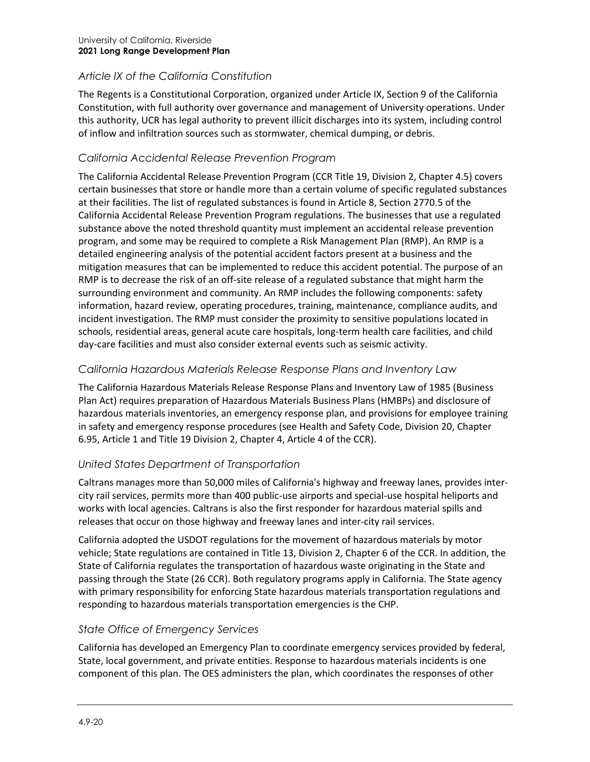# *Article IX of the California Constitution*

The Regents is a Constitutional Corporation, organized under Article IX, Section 9 of the California Constitution, with full authority over governance and management of University operations. Under this authority, UCR has legal authority to prevent illicit discharges into its system, including control of inflow and infiltration sources such as stormwater, chemical dumping, or debris.

#### *California Accidental Release Prevention Program*

The California Accidental Release Prevention Program (CCR Title 19, Division 2, Chapter 4.5) covers certain businesses that store or handle more than a certain volume of specific regulated substances at their facilities. The list of regulated substances is found in Article 8, Section 2770.5 of the California Accidental Release Prevention Program regulations. The businesses that use a regulated substance above the noted threshold quantity must implement an accidental release prevention program, and some may be required to complete a Risk Management Plan (RMP). An RMP is a detailed engineering analysis of the potential accident factors present at a business and the mitigation measures that can be implemented to reduce this accident potential. The purpose of an RMP is to decrease the risk of an off-site release of a regulated substance that might harm the surrounding environment and community. An RMP includes the following components: safety information, hazard review, operating procedures, training, maintenance, compliance audits, and incident investigation. The RMP must consider the proximity to sensitive populations located in schools, residential areas, general acute care hospitals, long-term health care facilities, and child day-care facilities and must also consider external events such as seismic activity.

#### *California Hazardous Materials Release Response Plans and Inventory Law*

The California Hazardous Materials Release Response Plans and Inventory Law of 1985 (Business Plan Act) requires preparation of Hazardous Materials Business Plans (HMBPs) and disclosure of hazardous materials inventories, an emergency response plan, and provisions for employee training in safety and emergency response procedures (see Health and Safety Code, Division 20, Chapter 6.95, Article 1 and Title 19 Division 2, Chapter 4, Article 4 of the CCR).

# *United States Department of Transportation*

Caltrans manages more than 50,000 miles of California's highway and freeway lanes, provides intercity rail services, permits more than 400 public-use airports and special-use hospital heliports and works with local agencies. Caltrans is also the first responder for hazardous material spills and releases that occur on those highway and freeway lanes and inter-city rail services.

California adopted the USDOT regulations for the movement of hazardous materials by motor vehicle; State regulations are contained in Title 13, Division 2, Chapter 6 of the CCR. In addition, the State of California regulates the transportation of hazardous waste originating in the State and passing through the State (26 CCR). Both regulatory programs apply in California. The State agency with primary responsibility for enforcing State hazardous materials transportation regulations and responding to hazardous materials transportation emergencies is the CHP.

#### *State Office of Emergency Services*

California has developed an Emergency Plan to coordinate emergency services provided by federal, State, local government, and private entities. Response to hazardous materials incidents is one component of this plan. The OES administers the plan, which coordinates the responses of other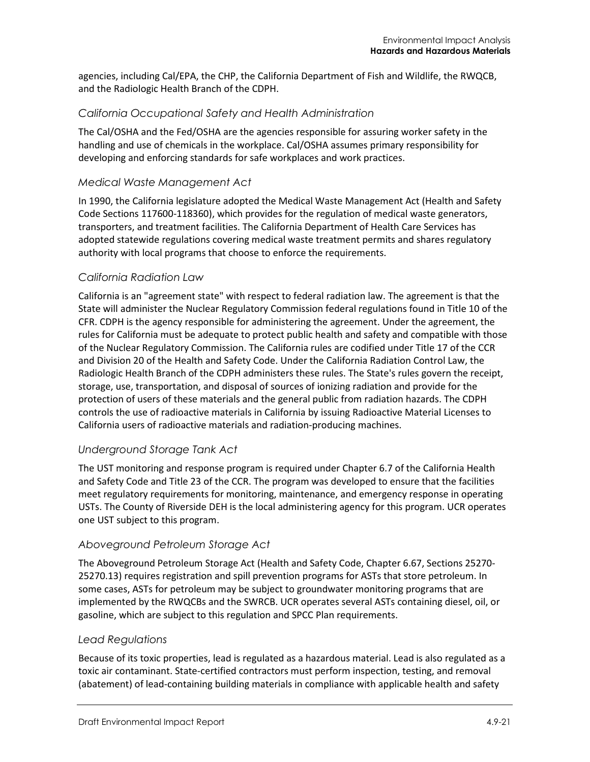agencies, including Cal/EPA, the CHP, the California Department of Fish and Wildlife, the RWQCB, and the Radiologic Health Branch of the CDPH.

#### *California Occupational Safety and Health Administration*

The Cal/OSHA and the Fed/OSHA are the agencies responsible for assuring worker safety in the handling and use of chemicals in the workplace. Cal/OSHA assumes primary responsibility for developing and enforcing standards for safe workplaces and work practices.

#### *Medical Waste Management Act*

In 1990, the California legislature adopted the Medical Waste Management Act (Health and Safety Code Sections 117600-118360), which provides for the regulation of medical waste generators, transporters, and treatment facilities. The California Department of Health Care Services has adopted statewide regulations covering medical waste treatment permits and shares regulatory authority with local programs that choose to enforce the requirements.

#### *California Radiation Law*

California is an "agreement state" with respect to federal radiation law. The agreement is that the State will administer the Nuclear Regulatory Commission federal regulations found in Title 10 of the CFR. CDPH is the agency responsible for administering the agreement. Under the agreement, the rules for California must be adequate to protect public health and safety and compatible with those of the Nuclear Regulatory Commission. The California rules are codified under Title 17 of the CCR and Division 20 of the Health and Safety Code. Under the California Radiation Control Law, the Radiologic Health Branch of the CDPH administers these rules. The State's rules govern the receipt, storage, use, transportation, and disposal of sources of ionizing radiation and provide for the protection of users of these materials and the general public from radiation hazards. The CDPH controls the use of radioactive materials in California by issuing Radioactive Material Licenses to California users of radioactive materials and radiation-producing machines.

#### *Underground Storage Tank Act*

The UST monitoring and response program is required under Chapter 6.7 of the California Health and Safety Code and Title 23 of the CCR. The program was developed to ensure that the facilities meet regulatory requirements for monitoring, maintenance, and emergency response in operating USTs. The County of Riverside DEH is the local administering agency for this program. UCR operates one UST subject to this program.

#### *Aboveground Petroleum Storage Act*

The Aboveground Petroleum Storage Act (Health and Safety Code, Chapter 6.67, Sections 25270- 25270.13) requires registration and spill prevention programs for ASTs that store petroleum. In some cases, ASTs for petroleum may be subject to groundwater monitoring programs that are implemented by the RWQCBs and the SWRCB. UCR operates several ASTs containing diesel, oil, or gasoline, which are subject to this regulation and SPCC Plan requirements.

#### *Lead Regulations*

Because of its toxic properties, lead is regulated as a hazardous material. Lead is also regulated as a toxic air contaminant. State-certified contractors must perform inspection, testing, and removal (abatement) of lead-containing building materials in compliance with applicable health and safety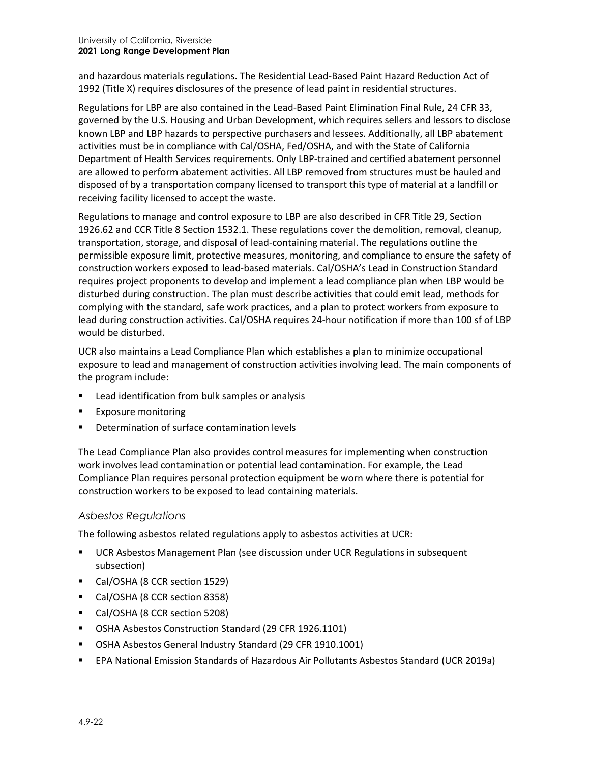and hazardous materials regulations. The Residential Lead-Based Paint Hazard Reduction Act of 1992 (Title X) requires disclosures of the presence of lead paint in residential structures.

Regulations for LBP are also contained in the Lead-Based Paint Elimination Final Rule, 24 CFR 33, governed by the U.S. Housing and Urban Development, which requires sellers and lessors to disclose known LBP and LBP hazards to perspective purchasers and lessees. Additionally, all LBP abatement activities must be in compliance with Cal/OSHA, Fed/OSHA, and with the State of California Department of Health Services requirements. Only LBP-trained and certified abatement personnel are allowed to perform abatement activities. All LBP removed from structures must be hauled and disposed of by a transportation company licensed to transport this type of material at a landfill or receiving facility licensed to accept the waste.

Regulations to manage and control exposure to LBP are also described in CFR Title 29, Section 1926.62 and CCR Title 8 Section 1532.1. These regulations cover the demolition, removal, cleanup, transportation, storage, and disposal of lead-containing material. The regulations outline the permissible exposure limit, protective measures, monitoring, and compliance to ensure the safety of construction workers exposed to lead-based materials. Cal/OSHA's Lead in Construction Standard requires project proponents to develop and implement a lead compliance plan when LBP would be disturbed during construction. The plan must describe activities that could emit lead, methods for complying with the standard, safe work practices, and a plan to protect workers from exposure to lead during construction activities. Cal/OSHA requires 24-hour notification if more than 100 sf of LBP would be disturbed.

UCR also maintains a Lead Compliance Plan which establishes a plan to minimize occupational exposure to lead and management of construction activities involving lead. The main components of the program include:

- **EXTER** Lead identification from bulk samples or analysis
- **Exposure monitoring**
- Determination of surface contamination levels

The Lead Compliance Plan also provides control measures for implementing when construction work involves lead contamination or potential lead contamination. For example, the Lead Compliance Plan requires personal protection equipment be worn where there is potential for construction workers to be exposed to lead containing materials.

#### *Asbestos Regulations*

The following asbestos related regulations apply to asbestos activities at UCR:

- UCR Asbestos Management Plan (see discussion under UCR Regulations in subsequent subsection)
- Cal/OSHA (8 CCR section 1529)
- Cal/OSHA (8 CCR section 8358)
- Cal/OSHA (8 CCR section 5208)
- OSHA Asbestos Construction Standard (29 CFR 1926.1101)
- OSHA Asbestos General Industry Standard (29 CFR 1910.1001)
- EPA National Emission Standards of Hazardous Air Pollutants Asbestos Standard (UCR 2019a)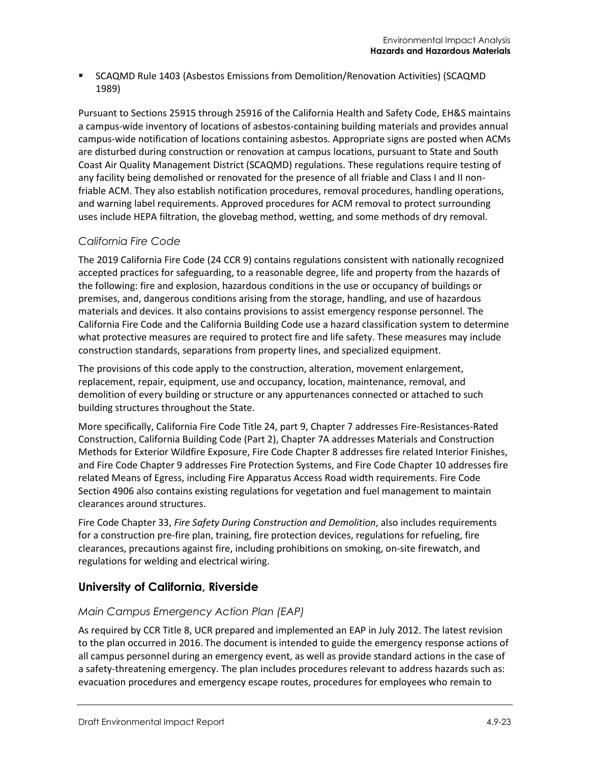SCAQMD Rule 1403 (Asbestos Emissions from Demolition/Renovation Activities) (SCAQMD 1989)

Pursuant to Sections 25915 through 25916 of the California Health and Safety Code, EH&S maintains a campus-wide inventory of locations of asbestos-containing building materials and provides annual campus-wide notification of locations containing asbestos. Appropriate signs are posted when ACMs are disturbed during construction or renovation at campus locations, pursuant to State and South Coast Air Quality Management District (SCAQMD) regulations. These regulations require testing of any facility being demolished or renovated for the presence of all friable and Class I and II nonfriable ACM. They also establish notification procedures, removal procedures, handling operations, and warning label requirements. Approved procedures for ACM removal to protect surrounding uses include HEPA filtration, the glovebag method, wetting, and some methods of dry removal.

#### *California Fire Code*

The 2019 California Fire Code (24 CCR 9) contains regulations consistent with nationally recognized accepted practices for safeguarding, to a reasonable degree, life and property from the hazards of the following: fire and explosion, hazardous conditions in the use or occupancy of buildings or premises, and, dangerous conditions arising from the storage, handling, and use of hazardous materials and devices. It also contains provisions to assist emergency response personnel. The California Fire Code and the California Building Code use a hazard classification system to determine what protective measures are required to protect fire and life safety. These measures may include construction standards, separations from property lines, and specialized equipment.

The provisions of this code apply to the construction, alteration, movement enlargement, replacement, repair, equipment, use and occupancy, location, maintenance, removal, and demolition of every building or structure or any appurtenances connected or attached to such building structures throughout the State.

More specifically, California Fire Code Title 24, part 9, Chapter 7 addresses Fire-Resistances-Rated Construction, California Building Code (Part 2), Chapter 7A addresses Materials and Construction Methods for Exterior Wildfire Exposure, Fire Code Chapter 8 addresses fire related Interior Finishes, and Fire Code Chapter 9 addresses Fire Protection Systems, and Fire Code Chapter 10 addresses fire related Means of Egress, including Fire Apparatus Access Road width requirements. Fire Code Section 4906 also contains existing regulations for vegetation and fuel management to maintain clearances around structures.

Fire Code Chapter 33, *Fire Safety During Construction and Demolition*, also includes requirements for a construction pre-fire plan, training, fire protection devices, regulations for refueling, fire clearances, precautions against fire, including prohibitions on smoking, on-site firewatch, and regulations for welding and electrical wiring.

# **University of California, Riverside**

#### *Main Campus Emergency Action Plan (EAP)*

As required by CCR Title 8, UCR prepared and implemented an EAP in July 2012. The latest revision to the plan occurred in 2016. The document is intended to guide the emergency response actions of all campus personnel during an emergency event, as well as provide standard actions in the case of a safety-threatening emergency. The plan includes procedures relevant to address hazards such as: evacuation procedures and emergency escape routes, procedures for employees who remain to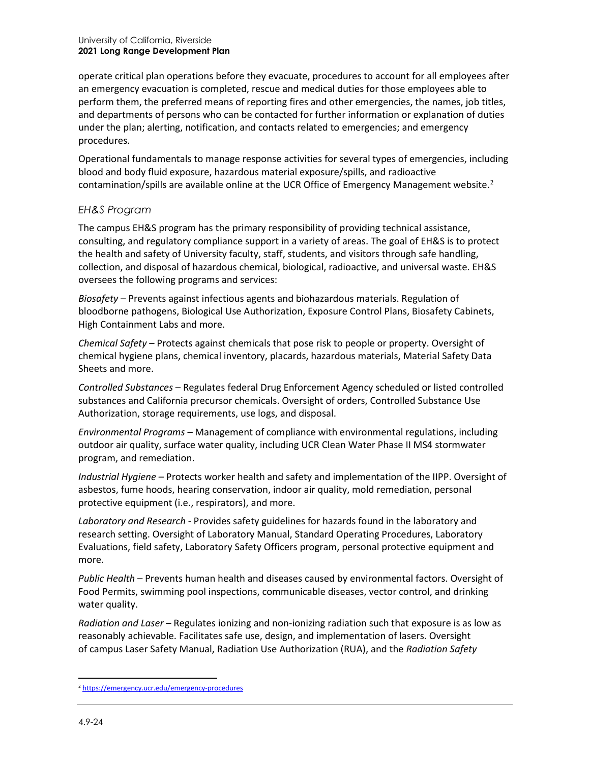operate critical plan operations before they evacuate, procedures to account for all employees after an emergency evacuation is completed, rescue and medical duties for those employees able to perform them, the preferred means of reporting fires and other emergencies, the names, job titles, and departments of persons who can be contacted for further information or explanation of duties under the plan; alerting, notification, and contacts related to emergencies; and emergency procedures.

Operational fundamentals to manage response activities for several types of emergencies, including blood and body fluid exposure, hazardous material exposure/spills, and radioactive contamination/spills are available online at the UCR Office of Emergency Management website.<sup>[2](#page-23-0)</sup>

#### *EH&S Program*

The campus EH&S program has the primary responsibility of providing technical assistance, consulting, and regulatory compliance support in a variety of areas. The goal of EH&S is to protect the health and safety of University faculty, staff, students, and visitors through safe handling, collection, and disposal of hazardous chemical, biological, radioactive, and universal waste. EH&S oversees the following programs and services:

*Biosafety* – Prevents against infectious agents and biohazardous materials. Regulation of bloodborne pathogens, Biological Use Authorization, Exposure Control Plans, Biosafety Cabinets, High Containment Labs and more.

*Chemical Safety* – Protects against chemicals that pose risk to people or property. Oversight of chemical hygiene plans, chemical inventory, placards, hazardous materials, Material Safety Data Sheets and more.

*Controlled Substances* – Regulates federal Drug Enforcement Agency scheduled or listed controlled substances and California precursor chemicals. Oversight of orders, Controlled Substance Use Authorization, storage requirements, use logs, and disposal.

*Environmental Programs* – Management of compliance with environmental regulations, including outdoor air quality, surface water quality, including UCR Clean Water Phase II MS4 stormwater program, and remediation.

*Industrial Hygiene* – Protects worker health and safety and implementation of the IIPP. Oversight of asbestos, fume hoods, hearing conservation, indoor air quality, mold remediation, personal protective equipment (i.e., respirators), and more.

*Laboratory and Research* - Provides safety guidelines for hazards found in the laboratory and research setting. Oversight of Laboratory Manual, Standard Operating Procedures, Laboratory Evaluations, field safety, Laboratory Safety Officers program, personal protective equipment and more.

*Public Health* – Prevents human health and diseases caused by environmental factors. Oversight of Food Permits, swimming pool inspections, communicable diseases, vector control, and drinking water quality.

*Radiation and Laser* – Regulates ionizing and non-ionizing radiation such that exposure is as low as reasonably achievable. Facilitates safe use, design, and implementation of lasers. Oversight of campus Laser Safety Manual, Radiation Use Authorization (RUA), and the *Radiation Safety* 

<span id="page-23-0"></span><sup>2</sup> <https://emergency.ucr.edu/emergency-procedures>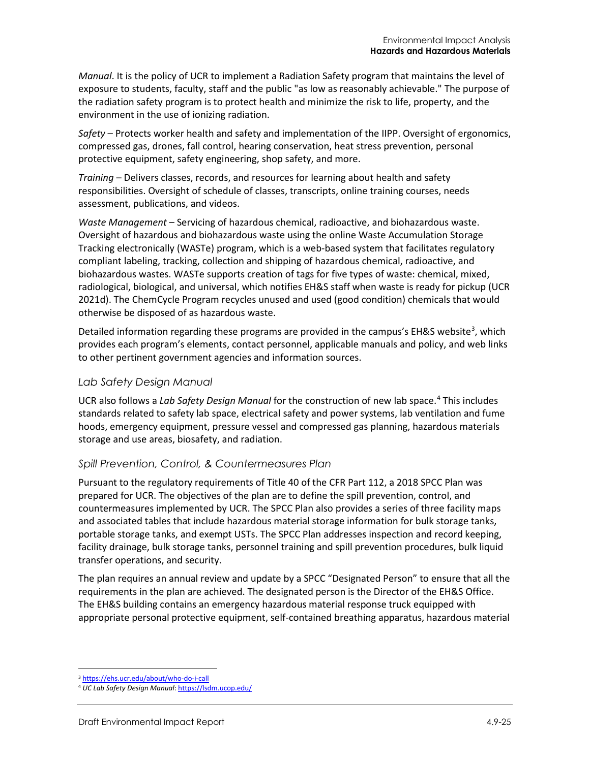*Manual*. It is the policy of UCR to implement a Radiation Safety program that maintains the level of exposure to students, faculty, staff and the public "as low as reasonably achievable." The purpose of the radiation safety program is to protect health and minimize the risk to life, property, and the environment in the use of ionizing radiation.

*Safety* – Protects worker health and safety and implementation of the IIPP. Oversight of ergonomics, compressed gas, drones, fall control, hearing conservation, heat stress prevention, personal protective equipment, safety engineering, shop safety, and more.

*Training* – Delivers classes, records, and resources for learning about health and safety responsibilities. Oversight of schedule of classes, transcripts, online training courses, needs assessment, publications, and videos.

*Waste Management* – Servicing of hazardous chemical, radioactive, and biohazardous waste. Oversight of hazardous and biohazardous waste using the online Waste Accumulation Storage Tracking electronically (WASTe) program, which is a web-based system that facilitates regulatory compliant labeling, tracking, collection and shipping of hazardous chemical, radioactive, and biohazardous wastes. WASTe supports creation of tags for five types of waste: chemical, mixed, radiological, biological, and universal, which notifies EH&S staff when waste is ready for pickup (UCR 2021d). The ChemCycle Program recycles unused and used (good condition) chemicals that would otherwise be disposed of as hazardous waste.

Detailed information regarding these programs are provided in the campus's EH&S website<sup>3</sup>, which provides each program's elements, contact personnel, applicable manuals and policy, and web links to other pertinent government agencies and information sources.

#### *Lab Safety Design Manual*

UCR also follows a *Lab Safety Design Manual* for the construction of new lab space.[4](#page-24-1) This includes standards related to safety lab space, electrical safety and power systems, lab ventilation and fume hoods, emergency equipment, pressure vessel and compressed gas planning, hazardous materials storage and use areas, biosafety, and radiation.

#### *Spill Prevention, Control, & Countermeasures Plan*

Pursuant to the regulatory requirements of Title 40 of the CFR Part 112, a 2018 SPCC Plan was prepared for UCR. The objectives of the plan are to define the spill prevention, control, and countermeasures implemented by UCR. The SPCC Plan also provides a series of three facility maps and associated tables that include hazardous material storage information for bulk storage tanks, portable storage tanks, and exempt USTs. The SPCC Plan addresses inspection and record keeping, facility drainage, bulk storage tanks, personnel training and spill prevention procedures, bulk liquid transfer operations, and security.

The plan requires an annual review and update by a SPCC "Designated Person" to ensure that all the requirements in the plan are achieved. The designated person is the Director of the EH&S Office. The EH&S building contains an emergency hazardous material response truck equipped with appropriate personal protective equipment, self-contained breathing apparatus, hazardous material

<span id="page-24-0"></span><sup>3</sup> <https://ehs.ucr.edu/about/who-do-i-call>

<span id="page-24-1"></span><sup>4</sup> *UC Lab Safety Design Manual*[: https://lsdm.ucop.edu/](https://lsdm.ucop.edu/)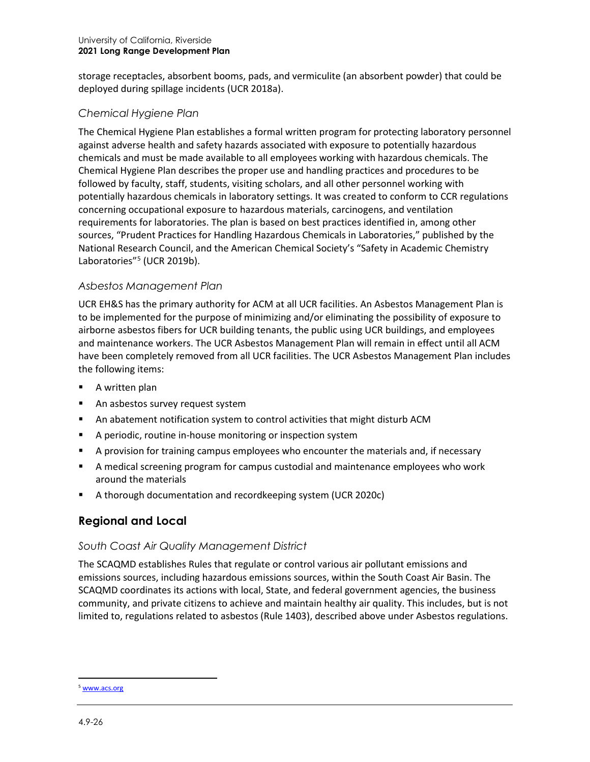storage receptacles, absorbent booms, pads, and vermiculite (an absorbent powder) that could be deployed during spillage incidents (UCR 2018a).

# *Chemical Hygiene Plan*

The Chemical Hygiene Plan establishes a formal written program for protecting laboratory personnel against adverse health and safety hazards associated with exposure to potentially hazardous chemicals and must be made available to all employees working with hazardous chemicals. The Chemical Hygiene Plan describes the proper use and handling practices and procedures to be followed by faculty, staff, students, visiting scholars, and all other personnel working with potentially hazardous chemicals in laboratory settings. It was created to conform to CCR regulations concerning occupational exposure to hazardous materials, carcinogens, and ventilation requirements for laboratories. The plan is based on best practices identified in, among other sources, "Prudent Practices for Handling Hazardous Chemicals in Laboratories," published by the National Research Council, and the American Chemical Society's "Safety in Academic Chemistry Laboratories"<sup>[5](#page-25-0)</sup> (UCR 2019b).

#### *Asbestos Management Plan*

UCR EH&S has the primary authority for ACM at all UCR facilities. An Asbestos Management Plan is to be implemented for the purpose of minimizing and/or eliminating the possibility of exposure to airborne asbestos fibers for UCR building tenants, the public using UCR buildings, and employees and maintenance workers. The UCR Asbestos Management Plan will remain in effect until all ACM have been completely removed from all UCR facilities. The UCR Asbestos Management Plan includes the following items:

- A written plan
- An asbestos survey request system
- An abatement notification system to control activities that might disturb ACM
- A periodic, routine in-house monitoring or inspection system
- A provision for training campus employees who encounter the materials and, if necessary
- A medical screening program for campus custodial and maintenance employees who work around the materials
- A thorough documentation and recordkeeping system (UCR 2020c)

# **Regional and Local**

# *South Coast Air Quality Management District*

The SCAQMD establishes Rules that regulate or control various air pollutant emissions and emissions sources, including hazardous emissions sources, within the South Coast Air Basin. The SCAQMD coordinates its actions with local, State, and federal government agencies, the business community, and private citizens to achieve and maintain healthy air quality. This includes, but is not limited to, regulations related to asbestos (Rule 1403), described above under Asbestos regulations.

<span id="page-25-0"></span><sup>5</sup> [www.acs.org](http://www.acs.org/)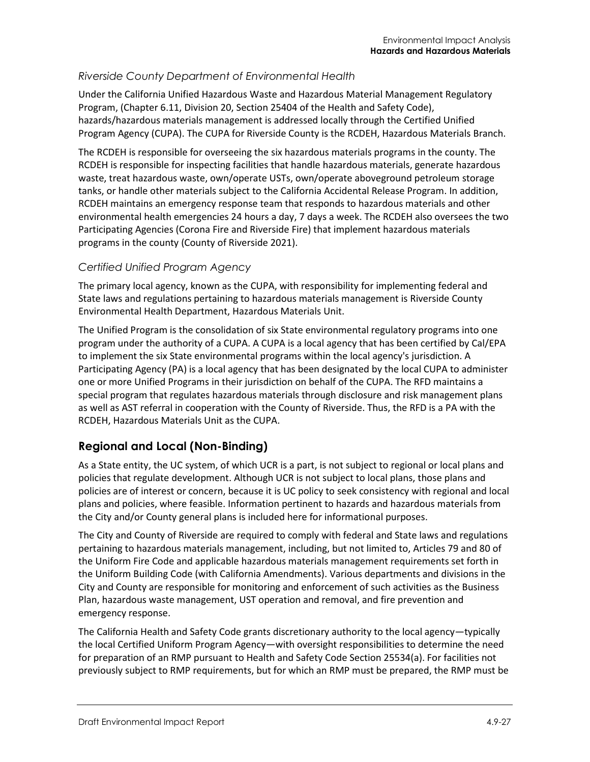#### *Riverside County Department of Environmental Health*

Under the California Unified Hazardous Waste and Hazardous Material Management Regulatory Program, (Chapter 6.11, Division 20, Section 25404 of the Health and Safety Code), hazards/hazardous materials management is addressed locally through the Certified Unified Program Agency (CUPA). The CUPA for Riverside County is the RCDEH, Hazardous Materials Branch.

The RCDEH is responsible for overseeing the six hazardous materials programs in the county. The RCDEH is responsible for inspecting facilities that handle hazardous materials, generate hazardous waste, treat hazardous waste, own/operate USTs, own/operate aboveground petroleum storage tanks, or handle other materials subject to the California Accidental Release Program. In addition, RCDEH maintains an emergency response team that responds to hazardous materials and other environmental health emergencies 24 hours a day, 7 days a week. The RCDEH also oversees the two Participating Agencies (Corona Fire and Riverside Fire) that implement hazardous materials programs in the county (County of Riverside 2021).

#### *Certified Unified Program Agency*

The primary local agency, known as the CUPA, with responsibility for implementing federal and State laws and regulations pertaining to hazardous materials management is Riverside County Environmental Health Department, Hazardous Materials Unit.

The Unified Program is the consolidation of six State environmental regulatory programs into one program under the authority of a CUPA. A CUPA is a local agency that has been certified by Cal/EPA to implement the six State environmental programs within the local agency's jurisdiction. A Participating Agency (PA) is a local agency that has been designated by the local CUPA to administer one or more Unified Programs in their jurisdiction on behalf of the CUPA. The RFD maintains a special program that regulates hazardous materials through disclosure and risk management plans as well as AST referral in cooperation with the County of Riverside. Thus, the RFD is a PA with the RCDEH, Hazardous Materials Unit as the CUPA.

# **Regional and Local (Non-Binding)**

As a State entity, the UC system, of which UCR is a part, is not subject to regional or local plans and policies that regulate development. Although UCR is not subject to local plans, those plans and policies are of interest or concern, because it is UC policy to seek consistency with regional and local plans and policies, where feasible. Information pertinent to hazards and hazardous materials from the City and/or County general plans is included here for informational purposes.

The City and County of Riverside are required to comply with federal and State laws and regulations pertaining to hazardous materials management, including, but not limited to, Articles 79 and 80 of the Uniform Fire Code and applicable hazardous materials management requirements set forth in the Uniform Building Code (with California Amendments). Various departments and divisions in the City and County are responsible for monitoring and enforcement of such activities as the Business Plan, hazardous waste management, UST operation and removal, and fire prevention and emergency response.

The California Health and Safety Code grants discretionary authority to the local agency—typically the local Certified Uniform Program Agency—with oversight responsibilities to determine the need for preparation of an RMP pursuant to Health and Safety Code Section 25534(a). For facilities not previously subject to RMP requirements, but for which an RMP must be prepared, the RMP must be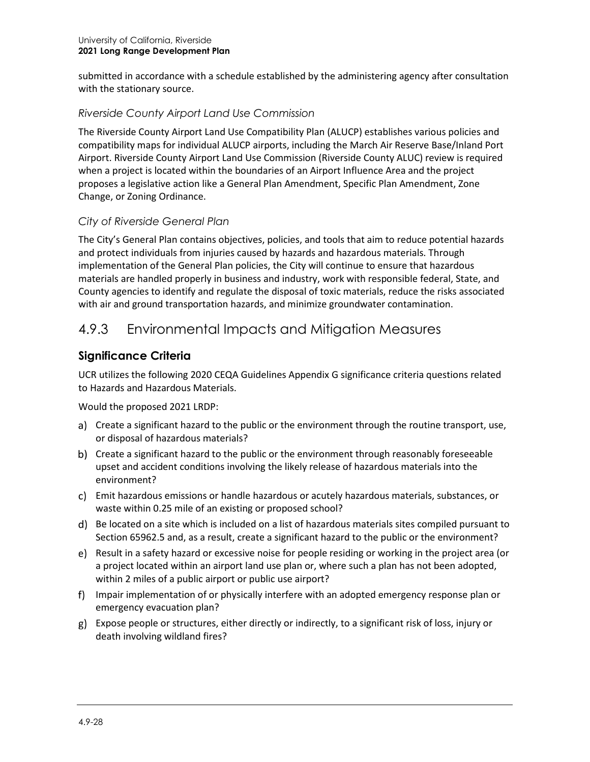submitted in accordance with a schedule established by the administering agency after consultation with the stationary source.

# *Riverside County Airport Land Use Commission*

The Riverside County Airport Land Use Compatibility Plan (ALUCP) establishes various policies and compatibility maps for individual ALUCP airports, including the March Air Reserve Base/Inland Port Airport. Riverside County Airport Land Use Commission (Riverside County ALUC) review is required when a project is located within the boundaries of an Airport Influence Area and the project proposes a legislative action like a General Plan Amendment, Specific Plan Amendment, Zone Change, or Zoning Ordinance.

# *City of Riverside General Plan*

The City's General Plan contains objectives, policies, and tools that aim to reduce potential hazards and protect individuals from injuries caused by hazards and hazardous materials. Through implementation of the General Plan policies, the City will continue to ensure that hazardous materials are handled properly in business and industry, work with responsible federal, State, and County agencies to identify and regulate the disposal of toxic materials, reduce the risks associated with air and ground transportation hazards, and minimize groundwater contamination.

# 4.9.3 Environmental Impacts and Mitigation Measures

# **Significance Criteria**

UCR utilizes the following 2020 CEQA Guidelines Appendix G significance criteria questions related to Hazards and Hazardous Materials.

Would the proposed 2021 LRDP:

- a) Create a significant hazard to the public or the environment through the routine transport, use, or disposal of hazardous materials?
- b) Create a significant hazard to the public or the environment through reasonably foreseeable upset and accident conditions involving the likely release of hazardous materials into the environment?
- Emit hazardous emissions or handle hazardous or acutely hazardous materials, substances, or waste within 0.25 mile of an existing or proposed school?
- Be located on a site which is included on a list of hazardous materials sites compiled pursuant to Section 65962.5 and, as a result, create a significant hazard to the public or the environment?
- Result in a safety hazard or excessive noise for people residing or working in the project area (or a project located within an airport land use plan or, where such a plan has not been adopted, within 2 miles of a public airport or public use airport?
- f) Impair implementation of or physically interfere with an adopted emergency response plan or emergency evacuation plan?
- Expose people or structures, either directly or indirectly, to a significant risk of loss, injury or death involving wildland fires?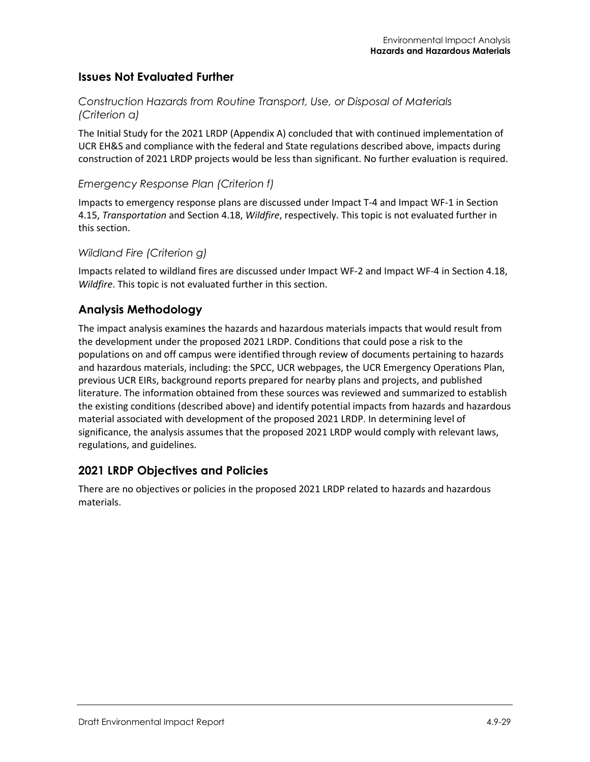# **Issues Not Evaluated Further**

#### *Construction Hazards from Routine Transport, Use, or Disposal of Materials (Criterion a)*

The Initial Study for the 2021 LRDP (Appendix A) concluded that with continued implementation of UCR EH&S and compliance with the federal and State regulations described above, impacts during construction of 2021 LRDP projects would be less than significant. No further evaluation is required.

#### *Emergency Response Plan (Criterion f)*

Impacts to emergency response plans are discussed under Impact T-4 and Impact WF-1 in Section 4.15, *Transportation* and Section 4.18, *Wildfire*, respectively. This topic is not evaluated further in this section.

#### *Wildland Fire (Criterion g)*

Impacts related to wildland fires are discussed under Impact WF-2 and Impact WF-4 in Section 4.18, *Wildfire*. This topic is not evaluated further in this section.

# **Analysis Methodology**

The impact analysis examines the hazards and hazardous materials impacts that would result from the development under the proposed 2021 LRDP. Conditions that could pose a risk to the populations on and off campus were identified through review of documents pertaining to hazards and hazardous materials, including: the SPCC, UCR webpages, the UCR Emergency Operations Plan, previous UCR EIRs, background reports prepared for nearby plans and projects, and published literature. The information obtained from these sources was reviewed and summarized to establish the existing conditions (described above) and identify potential impacts from hazards and hazardous material associated with development of the proposed 2021 LRDP. In determining level of significance, the analysis assumes that the proposed 2021 LRDP would comply with relevant laws, regulations, and guidelines.

# **2021 LRDP Objectives and Policies**

There are no objectives or policies in the proposed 2021 LRDP related to hazards and hazardous materials.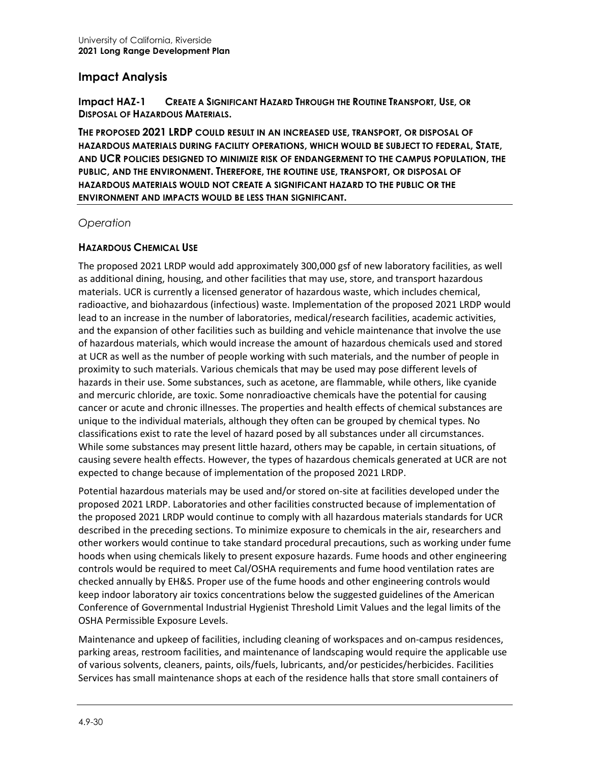#### **Impact Analysis**

**Impact HAZ-1 CREATE A SIGNIFICANT HAZARD THROUGH THE ROUTINE TRANSPORT, USE, OR DISPOSAL OF HAZARDOUS MATERIALS.**

**THE PROPOSED 2021 LRDP COULD RESULT IN AN INCREASED USE, TRANSPORT, OR DISPOSAL OF HAZARDOUS MATERIALS DURING FACILITY OPERATIONS, WHICH WOULD BE SUBJECT TO FEDERAL, STATE, AND UCR POLICIES DESIGNED TO MINIMIZE RISK OF ENDANGERMENT TO THE CAMPUS POPULATION, THE PUBLIC, AND THE ENVIRONMENT. THEREFORE, THE ROUTINE USE, TRANSPORT, OR DISPOSAL OF HAZARDOUS MATERIALS WOULD NOT CREATE A SIGNIFICANT HAZARD TO THE PUBLIC OR THE ENVIRONMENT AND IMPACTS WOULD BE LESS THAN SIGNIFICANT.**

*Operation*

#### **HAZARDOUS CHEMICAL USE**

The proposed 2021 LRDP would add approximately 300,000 gsf of new laboratory facilities, as well as additional dining, housing, and other facilities that may use, store, and transport hazardous materials. UCR is currently a licensed generator of hazardous waste, which includes chemical, radioactive, and biohazardous (infectious) waste. Implementation of the proposed 2021 LRDP would lead to an increase in the number of laboratories, medical/research facilities, academic activities, and the expansion of other facilities such as building and vehicle maintenance that involve the use of hazardous materials, which would increase the amount of hazardous chemicals used and stored at UCR as well as the number of people working with such materials, and the number of people in proximity to such materials. Various chemicals that may be used may pose different levels of hazards in their use. Some substances, such as acetone, are flammable, while others, like cyanide and mercuric chloride, are toxic. Some nonradioactive chemicals have the potential for causing cancer or acute and chronic illnesses. The properties and health effects of chemical substances are unique to the individual materials, although they often can be grouped by chemical types. No classifications exist to rate the level of hazard posed by all substances under all circumstances. While some substances may present little hazard, others may be capable, in certain situations, of causing severe health effects. However, the types of hazardous chemicals generated at UCR are not expected to change because of implementation of the proposed 2021 LRDP.

Potential hazardous materials may be used and/or stored on-site at facilities developed under the proposed 2021 LRDP. Laboratories and other facilities constructed because of implementation of the proposed 2021 LRDP would continue to comply with all hazardous materials standards for UCR described in the preceding sections. To minimize exposure to chemicals in the air, researchers and other workers would continue to take standard procedural precautions, such as working under fume hoods when using chemicals likely to present exposure hazards. Fume hoods and other engineering controls would be required to meet Cal/OSHA requirements and fume hood ventilation rates are checked annually by EH&S. Proper use of the fume hoods and other engineering controls would keep indoor laboratory air toxics concentrations below the suggested guidelines of the American Conference of Governmental Industrial Hygienist Threshold Limit Values and the legal limits of the OSHA Permissible Exposure Levels.

Maintenance and upkeep of facilities, including cleaning of workspaces and on-campus residences, parking areas, restroom facilities, and maintenance of landscaping would require the applicable use of various solvents, cleaners, paints, oils/fuels, lubricants, and/or pesticides/herbicides. Facilities Services has small maintenance shops at each of the residence halls that store small containers of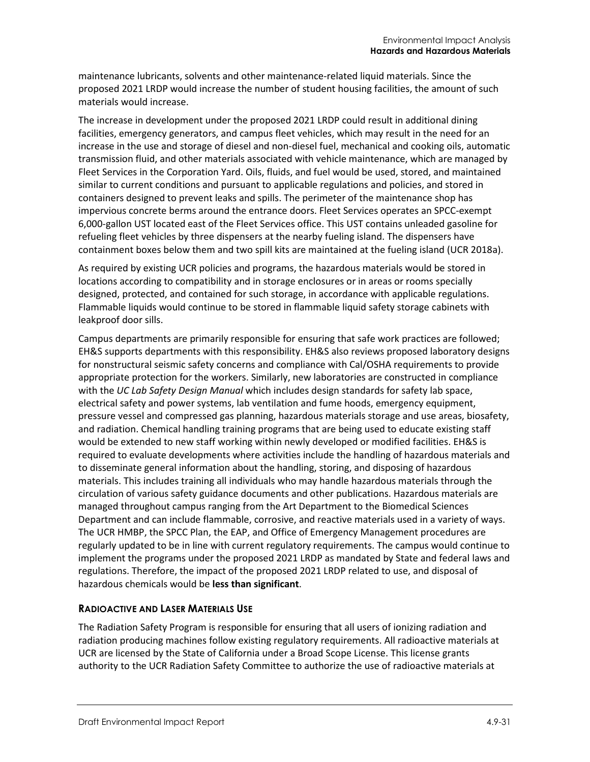maintenance lubricants, solvents and other maintenance-related liquid materials. Since the proposed 2021 LRDP would increase the number of student housing facilities, the amount of such materials would increase.

The increase in development under the proposed 2021 LRDP could result in additional dining facilities, emergency generators, and campus fleet vehicles, which may result in the need for an increase in the use and storage of diesel and non-diesel fuel, mechanical and cooking oils, automatic transmission fluid, and other materials associated with vehicle maintenance, which are managed by Fleet Services in the Corporation Yard. Oils, fluids, and fuel would be used, stored, and maintained similar to current conditions and pursuant to applicable regulations and policies, and stored in containers designed to prevent leaks and spills. The perimeter of the maintenance shop has impervious concrete berms around the entrance doors. Fleet Services operates an SPCC-exempt 6,000-gallon UST located east of the Fleet Services office. This UST contains unleaded gasoline for refueling fleet vehicles by three dispensers at the nearby fueling island. The dispensers have containment boxes below them and two spill kits are maintained at the fueling island (UCR 2018a).

As required by existing UCR policies and programs, the hazardous materials would be stored in locations according to compatibility and in storage enclosures or in areas or rooms specially designed, protected, and contained for such storage, in accordance with applicable regulations. Flammable liquids would continue to be stored in flammable liquid safety storage cabinets with leakproof door sills.

Campus departments are primarily responsible for ensuring that safe work practices are followed; EH&S supports departments with this responsibility. EH&S also reviews proposed laboratory designs for nonstructural seismic safety concerns and compliance with Cal/OSHA requirements to provide appropriate protection for the workers. Similarly, new laboratories are constructed in compliance with the *UC Lab Safety Design Manual* which includes design standards for safety lab space, electrical safety and power systems, lab ventilation and fume hoods, emergency equipment, pressure vessel and compressed gas planning, hazardous materials storage and use areas, biosafety, and radiation. Chemical handling training programs that are being used to educate existing staff would be extended to new staff working within newly developed or modified facilities. EH&S is required to evaluate developments where activities include the handling of hazardous materials and to disseminate general information about the handling, storing, and disposing of hazardous materials. This includes training all individuals who may handle hazardous materials through the circulation of various safety guidance documents and other publications. Hazardous materials are managed throughout campus ranging from the Art Department to the Biomedical Sciences Department and can include flammable, corrosive, and reactive materials used in a variety of ways. The UCR HMBP, the SPCC Plan, the EAP, and Office of Emergency Management procedures are regularly updated to be in line with current regulatory requirements. The campus would continue to implement the programs under the proposed 2021 LRDP as mandated by State and federal laws and regulations. Therefore, the impact of the proposed 2021 LRDP related to use, and disposal of hazardous chemicals would be **less than significant**.

#### **RADIOACTIVE AND LASER MATERIALS USE**

The Radiation Safety Program is responsible for ensuring that all users of ionizing radiation and radiation producing machines follow existing regulatory requirements. All radioactive materials at UCR are licensed by the State of California under a Broad Scope License. This license grants authority to the UCR Radiation Safety Committee to authorize the use of radioactive materials at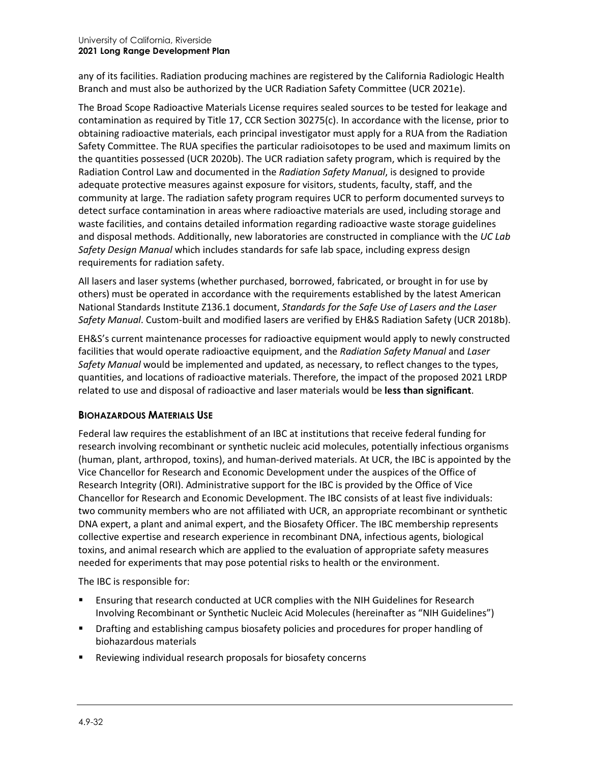any of its facilities. Radiation producing machines are registered by the California Radiologic Health Branch and must also be authorized by the UCR Radiation Safety Committee (UCR 2021e).

The Broad Scope Radioactive Materials License requires sealed sources to be tested for leakage and contamination as required by Title 17, CCR Section 30275(c). In accordance with the license, prior to obtaining radioactive materials, each principal investigator must apply for a RUA from the Radiation Safety Committee. The RUA specifies the particular radioisotopes to be used and maximum limits on the quantities possessed (UCR 2020b). The UCR radiation safety program, which is required by the Radiation Control Law and documented in the *Radiation Safety Manual*, is designed to provide adequate protective measures against exposure for visitors, students, faculty, staff, and the community at large. The radiation safety program requires UCR to perform documented surveys to detect surface contamination in areas where radioactive materials are used, including storage and waste facilities, and contains detailed information regarding radioactive waste storage guidelines and disposal methods. Additionally, new laboratories are constructed in compliance with the *UC Lab Safety Design Manual* which includes standards for safe lab space, including express design requirements for radiation safety.

All lasers and laser systems (whether purchased, borrowed, fabricated, or brought in for use by others) must be operated in accordance with the requirements established by the latest American National Standards Institute Z136.1 document, *Standards for the Safe Use of Lasers and the Laser Safety Manual*. Custom-built and modified lasers are verified by EH&S Radiation Safety (UCR 2018b).

EH&S's current maintenance processes for radioactive equipment would apply to newly constructed facilities that would operate radioactive equipment, and the *Radiation Safety Manual* and *Laser Safety Manual* would be implemented and updated, as necessary, to reflect changes to the types, quantities, and locations of radioactive materials. Therefore, the impact of the proposed 2021 LRDP related to use and disposal of radioactive and laser materials would be **less than significant**.

#### **BIOHAZARDOUS MATERIALS USE**

Federal law requires the establishment of an IBC at institutions that receive federal funding for research involving recombinant or synthetic nucleic acid molecules, potentially infectious organisms (human, plant, arthropod, toxins), and human-derived materials. At UCR, the IBC is appointed by the Vice Chancellor for Research and Economic Development under the auspices of the Office of Research Integrity (ORI). Administrative support for the IBC is provided by the Office of Vice Chancellor for Research and Economic Development. The IBC consists of at least five individuals: two community members who are not affiliated with UCR, an appropriate recombinant or synthetic DNA expert, a plant and animal expert, and the Biosafety Officer. The IBC membership represents collective expertise and research experience in recombinant DNA, infectious agents, biological toxins, and animal research which are applied to the evaluation of appropriate safety measures needed for experiments that may pose potential risks to health or the environment.

The IBC is responsible for:

- Ensuring that research conducted at UCR complies with the NIH Guidelines for Research Involving Recombinant or Synthetic Nucleic Acid Molecules (hereinafter as "NIH Guidelines")
- Drafting and establishing campus biosafety policies and procedures for proper handling of biohazardous materials
- Reviewing individual research proposals for biosafety concerns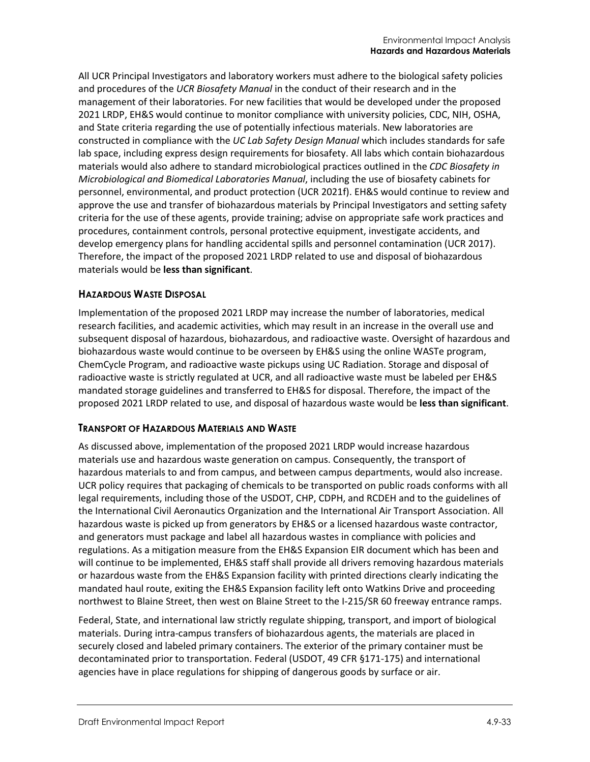All UCR Principal Investigators and laboratory workers must adhere to the biological safety policies and procedures of the *UCR Biosafety Manual* in the conduct of their research and in the management of their laboratories. For new facilities that would be developed under the proposed 2021 LRDP, EH&S would continue to monitor compliance with university policies, CDC, NIH, OSHA, and State criteria regarding the use of potentially infectious materials. New laboratories are constructed in compliance with the *UC Lab Safety Design Manual* which includes standards for safe lab space, including express design requirements for biosafety. All labs which contain biohazardous materials would also adhere to standard microbiological practices outlined in the *CDC Biosafety in Microbiological and Biomedical Laboratories Manual*, including the use of biosafety cabinets for personnel, environmental, and product protection (UCR 2021f). EH&S would continue to review and approve the use and transfer of biohazardous materials by Principal Investigators and setting safety criteria for the use of these agents, provide training; advise on appropriate safe work practices and procedures, containment controls, personal protective equipment, investigate accidents, and develop emergency plans for handling accidental spills and personnel contamination (UCR 2017). Therefore, the impact of the proposed 2021 LRDP related to use and disposal of biohazardous materials would be **less than significant**.

#### **HAZARDOUS WASTE DISPOSAL**

Implementation of the proposed 2021 LRDP may increase the number of laboratories, medical research facilities, and academic activities, which may result in an increase in the overall use and subsequent disposal of hazardous, biohazardous, and radioactive waste. Oversight of hazardous and biohazardous waste would continue to be overseen by EH&S using the online WASTe program, ChemCycle Program, and radioactive waste pickups using UC Radiation. Storage and disposal of radioactive waste is strictly regulated at UCR, and all radioactive waste must be labeled per EH&S mandated storage guidelines and transferred to EH&S for disposal. Therefore, the impact of the proposed 2021 LRDP related to use, and disposal of hazardous waste would be **less than significant**.

#### **TRANSPORT OF HAZARDOUS MATERIALS AND WASTE**

As discussed above, implementation of the proposed 2021 LRDP would increase hazardous materials use and hazardous waste generation on campus. Consequently, the transport of hazardous materials to and from campus, and between campus departments, would also increase. UCR policy requires that packaging of chemicals to be transported on public roads conforms with all legal requirements, including those of the USDOT, CHP, CDPH, and RCDEH and to the guidelines of the International Civil Aeronautics Organization and the International Air Transport Association. All hazardous waste is picked up from generators by EH&S or a licensed hazardous waste contractor, and generators must package and label all hazardous wastes in compliance with policies and regulations. As a mitigation measure from the EH&S Expansion EIR document which has been and will continue to be implemented, EH&S staff shall provide all drivers removing hazardous materials or hazardous waste from the EH&S Expansion facility with printed directions clearly indicating the mandated haul route, exiting the EH&S Expansion facility left onto Watkins Drive and proceeding northwest to Blaine Street, then west on Blaine Street to the I-215/SR 60 freeway entrance ramps.

Federal, State, and international law strictly regulate shipping, transport, and import of biological materials. During intra-campus transfers of biohazardous agents, the materials are placed in securely closed and labeled primary containers. The exterior of the primary container must be decontaminated prior to transportation. Federal (USDOT, 49 CFR §171-175) and international agencies have in place regulations for shipping of dangerous goods by surface or air.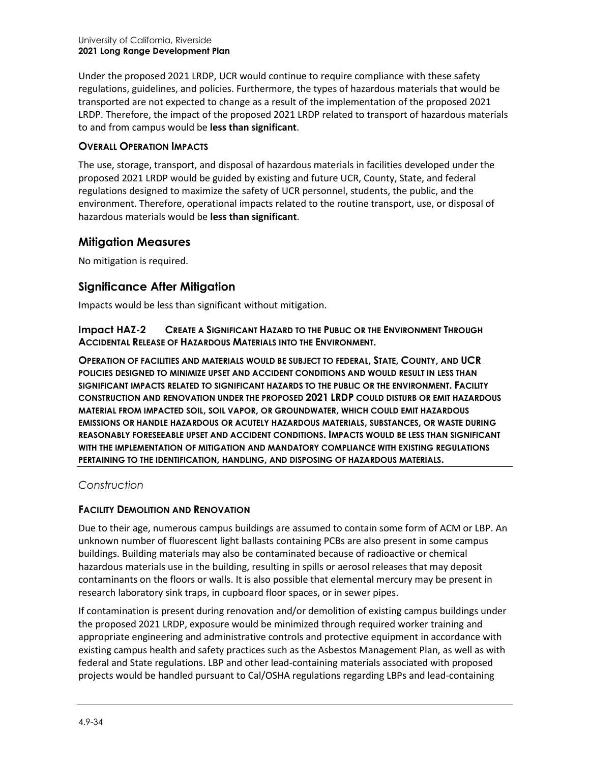Under the proposed 2021 LRDP, UCR would continue to require compliance with these safety regulations, guidelines, and policies. Furthermore, the types of hazardous materials that would be transported are not expected to change as a result of the implementation of the proposed 2021 LRDP. Therefore, the impact of the proposed 2021 LRDP related to transport of hazardous materials to and from campus would be **less than significant**.

#### **OVERALL OPERATION IMPACTS**

The use, storage, transport, and disposal of hazardous materials in facilities developed under the proposed 2021 LRDP would be guided by existing and future UCR, County, State, and federal regulations designed to maximize the safety of UCR personnel, students, the public, and the environment. Therefore, operational impacts related to the routine transport, use, or disposal of hazardous materials would be **less than significant**.

#### **Mitigation Measures**

No mitigation is required.

# **Significance After Mitigation**

Impacts would be less than significant without mitigation.

**Impact HAZ-2 CREATE A SIGNIFICANT HAZARD TO THE PUBLIC OR THE ENVIRONMENT THROUGH ACCIDENTAL RELEASE OF HAZARDOUS MATERIALS INTO THE ENVIRONMENT.**

**OPERATION OF FACILITIES AND MATERIALS WOULD BE SUBJECT TO FEDERAL, STATE, COUNTY, AND UCR POLICIES DESIGNED TO MINIMIZE UPSET AND ACCIDENT CONDITIONS AND WOULD RESULT IN LESS THAN SIGNIFICANT IMPACTS RELATED TO SIGNIFICANT HAZARDS TO THE PUBLIC OR THE ENVIRONMENT. FACILITY CONSTRUCTION AND RENOVATION UNDER THE PROPOSED 2021 LRDP COULD DISTURB OR EMIT HAZARDOUS MATERIAL FROM IMPACTED SOIL, SOIL VAPOR, OR GROUNDWATER, WHICH COULD EMIT HAZARDOUS EMISSIONS OR HANDLE HAZARDOUS OR ACUTELY HAZARDOUS MATERIALS, SUBSTANCES, OR WASTE DURING REASONABLY FORESEEABLE UPSET AND ACCIDENT CONDITIONS. IMPACTS WOULD BE LESS THAN SIGNIFICANT WITH THE IMPLEMENTATION OF MITIGATION AND MANDATORY COMPLIANCE WITH EXISTING REGULATIONS PERTAINING TO THE IDENTIFICATION, HANDLING, AND DISPOSING OF HAZARDOUS MATERIALS.**

#### *Construction*

#### **FACILITY DEMOLITION AND RENOVATION**

Due to their age, numerous campus buildings are assumed to contain some form of ACM or LBP. An unknown number of fluorescent light ballasts containing PCBs are also present in some campus buildings. Building materials may also be contaminated because of radioactive or chemical hazardous materials use in the building, resulting in spills or aerosol releases that may deposit contaminants on the floors or walls. It is also possible that elemental mercury may be present in research laboratory sink traps, in cupboard floor spaces, or in sewer pipes.

If contamination is present during renovation and/or demolition of existing campus buildings under the proposed 2021 LRDP, exposure would be minimized through required worker training and appropriate engineering and administrative controls and protective equipment in accordance with existing campus health and safety practices such as the Asbestos Management Plan, as well as with federal and State regulations. LBP and other lead-containing materials associated with proposed projects would be handled pursuant to Cal/OSHA regulations regarding LBPs and lead-containing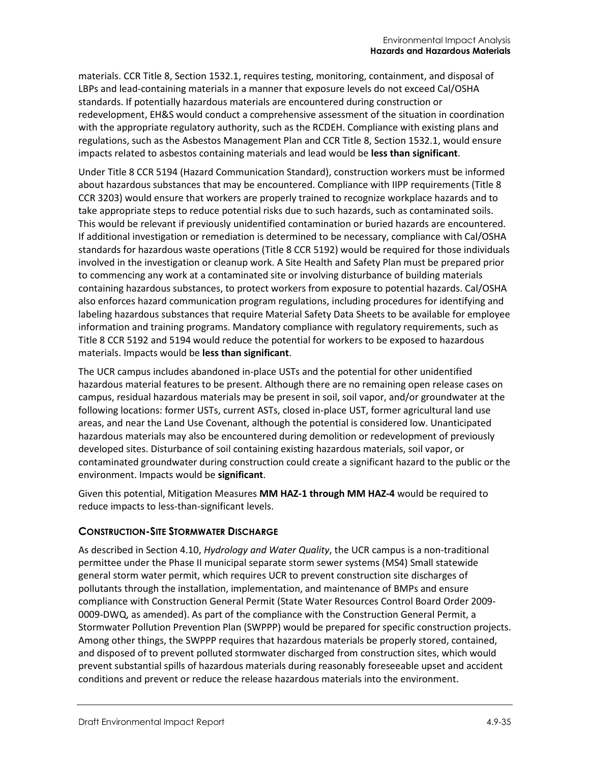materials. CCR Title 8, Section 1532.1, requires testing, monitoring, containment, and disposal of LBPs and lead-containing materials in a manner that exposure levels do not exceed Cal/OSHA standards. If potentially hazardous materials are encountered during construction or redevelopment, EH&S would conduct a comprehensive assessment of the situation in coordination with the appropriate regulatory authority, such as the RCDEH. Compliance with existing plans and regulations, such as the Asbestos Management Plan and CCR Title 8, Section 1532.1, would ensure impacts related to asbestos containing materials and lead would be **less than significant**.

Under Title 8 CCR 5194 (Hazard Communication Standard), construction workers must be informed about hazardous substances that may be encountered. Compliance with IIPP requirements (Title 8 CCR 3203) would ensure that workers are properly trained to recognize workplace hazards and to take appropriate steps to reduce potential risks due to such hazards, such as contaminated soils. This would be relevant if previously unidentified contamination or buried hazards are encountered. If additional investigation or remediation is determined to be necessary, compliance with Cal/OSHA standards for hazardous waste operations (Title 8 CCR 5192) would be required for those individuals involved in the investigation or cleanup work. A Site Health and Safety Plan must be prepared prior to commencing any work at a contaminated site or involving disturbance of building materials containing hazardous substances, to protect workers from exposure to potential hazards. Cal/OSHA also enforces hazard communication program regulations, including procedures for identifying and labeling hazardous substances that require Material Safety Data Sheets to be available for employee information and training programs. Mandatory compliance with regulatory requirements, such as Title 8 CCR 5192 and 5194 would reduce the potential for workers to be exposed to hazardous materials. Impacts would be **less than significant**.

The UCR campus includes abandoned in-place USTs and the potential for other unidentified hazardous material features to be present. Although there are no remaining open release cases on campus, residual hazardous materials may be present in soil, soil vapor, and/or groundwater at the following locations: former USTs, current ASTs, closed in-place UST, former agricultural land use areas, and near the Land Use Covenant, although the potential is considered low. Unanticipated hazardous materials may also be encountered during demolition or redevelopment of previously developed sites. Disturbance of soil containing existing hazardous materials, soil vapor, or contaminated groundwater during construction could create a significant hazard to the public or the environment. Impacts would be **significant**.

Given this potential, Mitigation Measures **MM HAZ-1 through MM HAZ-4** would be required to reduce impacts to less-than-significant levels.

#### **CONSTRUCTION-SITE STORMWATER DISCHARGE**

As described in Section 4.10, *Hydrology and Water Quality*, the UCR campus is a non-traditional permittee under the Phase II municipal separate storm sewer systems (MS4) Small statewide general storm water permit, which requires UCR to prevent construction site discharges of pollutants through the installation, implementation, and maintenance of BMPs and ensure compliance with Construction General Permit (State Water Resources Control Board Order 2009- 0009-DWQ, as amended). As part of the compliance with the Construction General Permit, a Stormwater Pollution Prevention Plan (SWPPP) would be prepared for specific construction projects. Among other things, the SWPPP requires that hazardous materials be properly stored, contained, and disposed of to prevent polluted stormwater discharged from construction sites, which would prevent substantial spills of hazardous materials during reasonably foreseeable upset and accident conditions and prevent or reduce the release hazardous materials into the environment.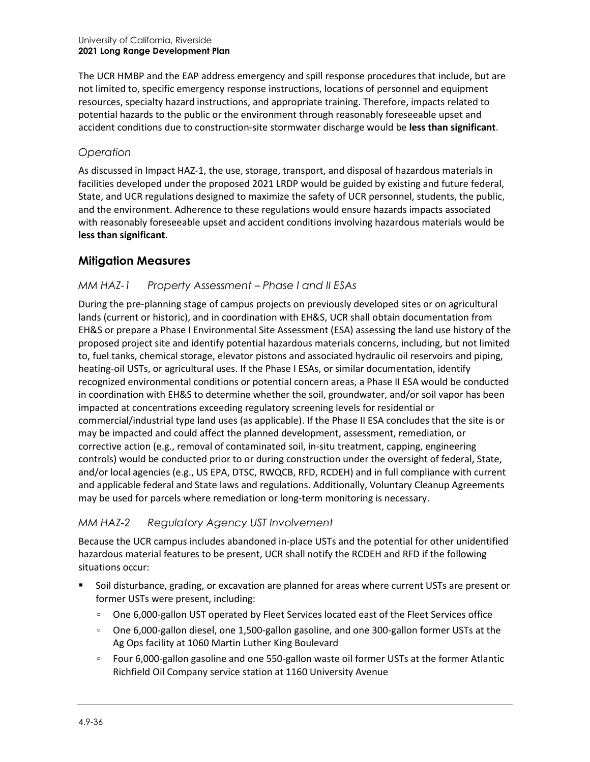The UCR HMBP and the EAP address emergency and spill response procedures that include, but are not limited to, specific emergency response instructions, locations of personnel and equipment resources, specialty hazard instructions, and appropriate training. Therefore, impacts related to potential hazards to the public or the environment through reasonably foreseeable upset and accident conditions due to construction-site stormwater discharge would be **less than significant**.

#### *Operation*

As discussed in Impact HAZ-1, the use, storage, transport, and disposal of hazardous materials in facilities developed under the proposed 2021 LRDP would be guided by existing and future federal, State, and UCR regulations designed to maximize the safety of UCR personnel, students, the public, and the environment. Adherence to these regulations would ensure hazards impacts associated with reasonably foreseeable upset and accident conditions involving hazardous materials would be **less than significant**.

# **Mitigation Measures**

#### *MM HAZ-1 Property Assessment – Phase I and II ESAs*

During the pre-planning stage of campus projects on previously developed sites or on agricultural lands (current or historic), and in coordination with EH&S, UCR shall obtain documentation from EH&S or prepare a Phase I Environmental Site Assessment (ESA) assessing the land use history of the proposed project site and identify potential hazardous materials concerns, including, but not limited to, fuel tanks, chemical storage, elevator pistons and associated hydraulic oil reservoirs and piping, heating-oil USTs, or agricultural uses. If the Phase I ESAs, or similar documentation, identify recognized environmental conditions or potential concern areas, a Phase II ESA would be conducted in coordination with EH&S to determine whether the soil, groundwater, and/or soil vapor has been impacted at concentrations exceeding regulatory screening levels for residential or commercial/industrial type land uses (as applicable). If the Phase II ESA concludes that the site is or may be impacted and could affect the planned development, assessment, remediation, or corrective action (e.g., removal of contaminated soil, in-situ treatment, capping, engineering controls) would be conducted prior to or during construction under the oversight of federal, State, and/or local agencies (e.g., US EPA, DTSC, RWQCB, RFD, RCDEH) and in full compliance with current and applicable federal and State laws and regulations. Additionally, Voluntary Cleanup Agreements may be used for parcels where remediation or long-term monitoring is necessary.

# *MM HAZ-2 Regulatory Agency UST Involvement*

Because the UCR campus includes abandoned in-place USTs and the potential for other unidentified hazardous material features to be present, UCR shall notify the RCDEH and RFD if the following situations occur:

- Soil disturbance, grading, or excavation are planned for areas where current USTs are present or former USTs were present, including:
	- One 6,000-gallon UST operated by Fleet Services located east of the Fleet Services office
	- One 6,000-gallon diesel, one 1,500-gallon gasoline, and one 300-gallon former USTs at the Ag Ops facility at 1060 Martin Luther King Boulevard
	- Four 6,000-gallon gasoline and one 550-gallon waste oil former USTs at the former Atlantic Richfield Oil Company service station at 1160 University Avenue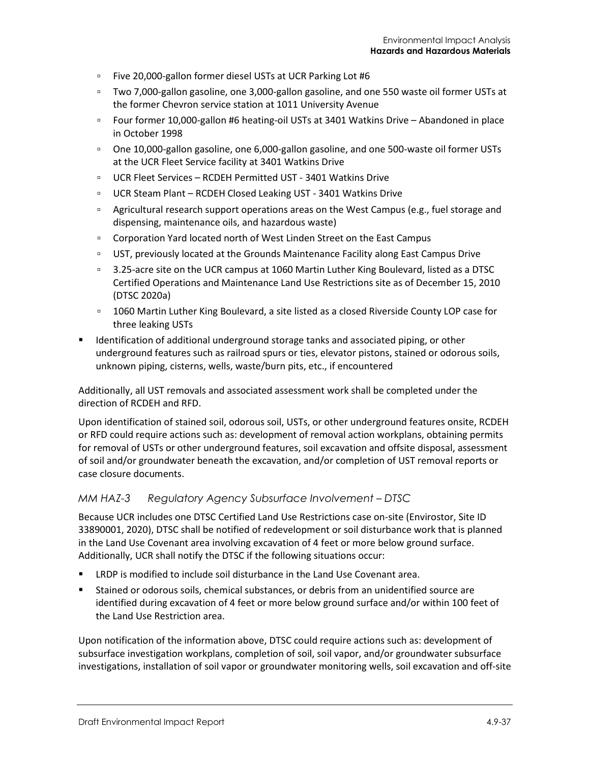- Five 20,000-gallon former diesel USTs at UCR Parking Lot #6
- Two 7,000-gallon gasoline, one 3,000-gallon gasoline, and one 550 waste oil former USTs at the former Chevron service station at 1011 University Avenue
- Four former 10,000-gallon #6 heating-oil USTs at 3401 Watkins Drive Abandoned in place in October 1998
- One 10,000-gallon gasoline, one 6,000-gallon gasoline, and one 500-waste oil former USTs at the UCR Fleet Service facility at 3401 Watkins Drive
- UCR Fleet Services RCDEH Permitted UST 3401 Watkins Drive
- UCR Steam Plant RCDEH Closed Leaking UST 3401 Watkins Drive
- Agricultural research support operations areas on the West Campus (e.g., fuel storage and dispensing, maintenance oils, and hazardous waste)
- □ Corporation Yard located north of West Linden Street on the East Campus
- □ UST, previously located at the Grounds Maintenance Facility along East Campus Drive
- 3.25-acre site on the UCR campus at 1060 Martin Luther King Boulevard, listed as a DTSC Certified Operations and Maintenance Land Use Restrictions site as of December 15, 2010 (DTSC 2020a)
- 1060 Martin Luther King Boulevard, a site listed as a closed Riverside County LOP case for three leaking USTs
- Identification of additional underground storage tanks and associated piping, or other underground features such as railroad spurs or ties, elevator pistons, stained or odorous soils, unknown piping, cisterns, wells, waste/burn pits, etc., if encountered

Additionally, all UST removals and associated assessment work shall be completed under the direction of RCDEH and RFD.

Upon identification of stained soil, odorous soil, USTs, or other underground features onsite, RCDEH or RFD could require actions such as: development of removal action workplans, obtaining permits for removal of USTs or other underground features, soil excavation and offsite disposal, assessment of soil and/or groundwater beneath the excavation, and/or completion of UST removal reports or case closure documents.

#### *MM HAZ-3 Regulatory Agency Subsurface Involvement – DTSC*

Because UCR includes one DTSC Certified Land Use Restrictions case on-site (Envirostor, Site ID 33890001, 2020), DTSC shall be notified of redevelopment or soil disturbance work that is planned in the Land Use Covenant area involving excavation of 4 feet or more below ground surface. Additionally, UCR shall notify the DTSC if the following situations occur:

- LRDP is modified to include soil disturbance in the Land Use Covenant area.
- Stained or odorous soils, chemical substances, or debris from an unidentified source are identified during excavation of 4 feet or more below ground surface and/or within 100 feet of the Land Use Restriction area.

Upon notification of the information above, DTSC could require actions such as: development of subsurface investigation workplans, completion of soil, soil vapor, and/or groundwater subsurface investigations, installation of soil vapor or groundwater monitoring wells, soil excavation and off-site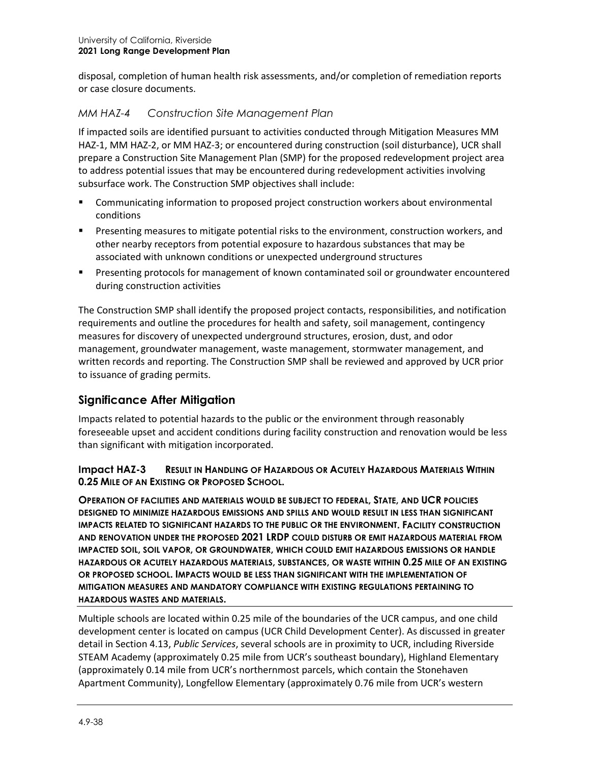disposal, completion of human health risk assessments, and/or completion of remediation reports or case closure documents.

#### *MM HAZ-4 Construction Site Management Plan*

If impacted soils are identified pursuant to activities conducted through Mitigation Measures MM HAZ-1, MM HAZ-2, or MM HAZ-3; or encountered during construction (soil disturbance), UCR shall prepare a Construction Site Management Plan (SMP) for the proposed redevelopment project area to address potential issues that may be encountered during redevelopment activities involving subsurface work. The Construction SMP objectives shall include:

- Communicating information to proposed project construction workers about environmental conditions
- **Presenting measures to mitigate potential risks to the environment, construction workers, and** other nearby receptors from potential exposure to hazardous substances that may be associated with unknown conditions or unexpected underground structures
- Presenting protocols for management of known contaminated soil or groundwater encountered during construction activities

The Construction SMP shall identify the proposed project contacts, responsibilities, and notification requirements and outline the procedures for health and safety, soil management, contingency measures for discovery of unexpected underground structures, erosion, dust, and odor management, groundwater management, waste management, stormwater management, and written records and reporting. The Construction SMP shall be reviewed and approved by UCR prior to issuance of grading permits.

# **Significance After Mitigation**

Impacts related to potential hazards to the public or the environment through reasonably foreseeable upset and accident conditions during facility construction and renovation would be less than significant with mitigation incorporated.

#### **Impact HAZ-3 RESULT IN HANDLING OF HAZARDOUS OR ACUTELY HAZARDOUS MATERIALS WITHIN 0.25 MILE OF AN EXISTING OR PROPOSED SCHOOL.**

**OPERATION OF FACILITIES AND MATERIALS WOULD BE SUBJECT TO FEDERAL, STATE, AND UCR POLICIES DESIGNED TO MINIMIZE HAZARDOUS EMISSIONS AND SPILLS AND WOULD RESULT IN LESS THAN SIGNIFICANT IMPACTS RELATED TO SIGNIFICANT HAZARDS TO THE PUBLIC OR THE ENVIRONMENT. FACILITY CONSTRUCTION AND RENOVATION UNDER THE PROPOSED 2021 LRDP COULD DISTURB OR EMIT HAZARDOUS MATERIAL FROM IMPACTED SOIL, SOIL VAPOR, OR GROUNDWATER, WHICH COULD EMIT HAZARDOUS EMISSIONS OR HANDLE HAZARDOUS OR ACUTELY HAZARDOUS MATERIALS, SUBSTANCES, OR WASTE WITHIN 0.25 MILE OF AN EXISTING OR PROPOSED SCHOOL. IMPACTS WOULD BE LESS THAN SIGNIFICANT WITH THE IMPLEMENTATION OF MITIGATION MEASURES AND MANDATORY COMPLIANCE WITH EXISTING REGULATIONS PERTAINING TO HAZARDOUS WASTES AND MATERIALS.**

Multiple schools are located within 0.25 mile of the boundaries of the UCR campus, and one child development center is located on campus (UCR Child Development Center). As discussed in greater detail in Section 4.13, *Public Services*, several schools are in proximity to UCR, including Riverside STEAM Academy (approximately 0.25 mile from UCR's southeast boundary), Highland Elementary (approximately 0.14 mile from UCR's northernmost parcels, which contain the Stonehaven Apartment Community), Longfellow Elementary (approximately 0.76 mile from UCR's western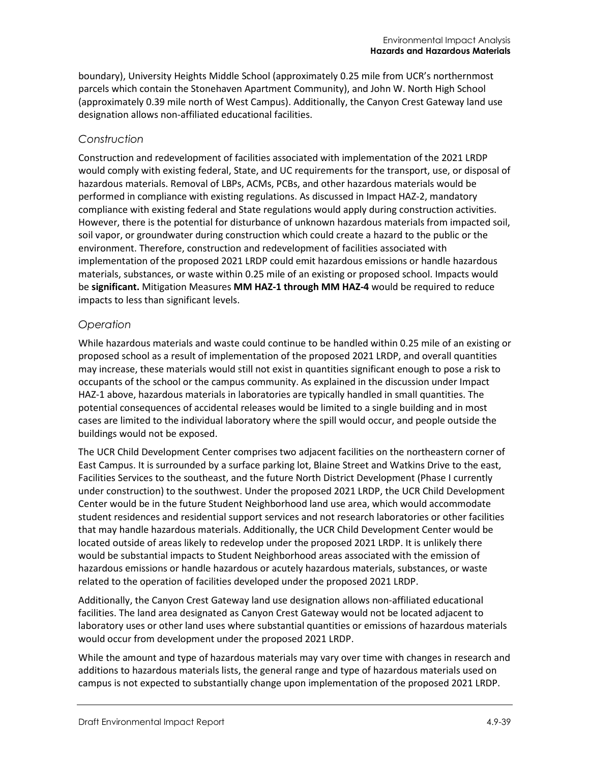boundary), University Heights Middle School (approximately 0.25 mile from UCR's northernmost parcels which contain the Stonehaven Apartment Community), and John W. North High School (approximately 0.39 mile north of West Campus). Additionally, the Canyon Crest Gateway land use designation allows non-affiliated educational facilities.

#### *Construction*

Construction and redevelopment of facilities associated with implementation of the 2021 LRDP would comply with existing federal, State, and UC requirements for the transport, use, or disposal of hazardous materials. Removal of LBPs, ACMs, PCBs, and other hazardous materials would be performed in compliance with existing regulations. As discussed in Impact HAZ-2, mandatory compliance with existing federal and State regulations would apply during construction activities. However, there is the potential for disturbance of unknown hazardous materials from impacted soil, soil vapor, or groundwater during construction which could create a hazard to the public or the environment. Therefore, construction and redevelopment of facilities associated with implementation of the proposed 2021 LRDP could emit hazardous emissions or handle hazardous materials, substances, or waste within 0.25 mile of an existing or proposed school. Impacts would be **significant.** Mitigation Measures **MM HAZ-1 through MM HAZ-4** would be required to reduce impacts to less than significant levels.

#### *Operation*

While hazardous materials and waste could continue to be handled within 0.25 mile of an existing or proposed school as a result of implementation of the proposed 2021 LRDP, and overall quantities may increase, these materials would still not exist in quantities significant enough to pose a risk to occupants of the school or the campus community. As explained in the discussion under Impact HAZ-1 above, hazardous materials in laboratories are typically handled in small quantities. The potential consequences of accidental releases would be limited to a single building and in most cases are limited to the individual laboratory where the spill would occur, and people outside the buildings would not be exposed.

The UCR Child Development Center comprises two adjacent facilities on the northeastern corner of East Campus. It is surrounded by a surface parking lot, Blaine Street and Watkins Drive to the east, Facilities Services to the southeast, and the future North District Development (Phase I currently under construction) to the southwest. Under the proposed 2021 LRDP, the UCR Child Development Center would be in the future Student Neighborhood land use area, which would accommodate student residences and residential support services and not research laboratories or other facilities that may handle hazardous materials. Additionally, the UCR Child Development Center would be located outside of areas likely to redevelop under the proposed 2021 LRDP. It is unlikely there would be substantial impacts to Student Neighborhood areas associated with the emission of hazardous emissions or handle hazardous or acutely hazardous materials, substances, or waste related to the operation of facilities developed under the proposed 2021 LRDP.

Additionally, the Canyon Crest Gateway land use designation allows non-affiliated educational facilities. The land area designated as Canyon Crest Gateway would not be located adjacent to laboratory uses or other land uses where substantial quantities or emissions of hazardous materials would occur from development under the proposed 2021 LRDP.

While the amount and type of hazardous materials may vary over time with changes in research and additions to hazardous materials lists, the general range and type of hazardous materials used on campus is not expected to substantially change upon implementation of the proposed 2021 LRDP.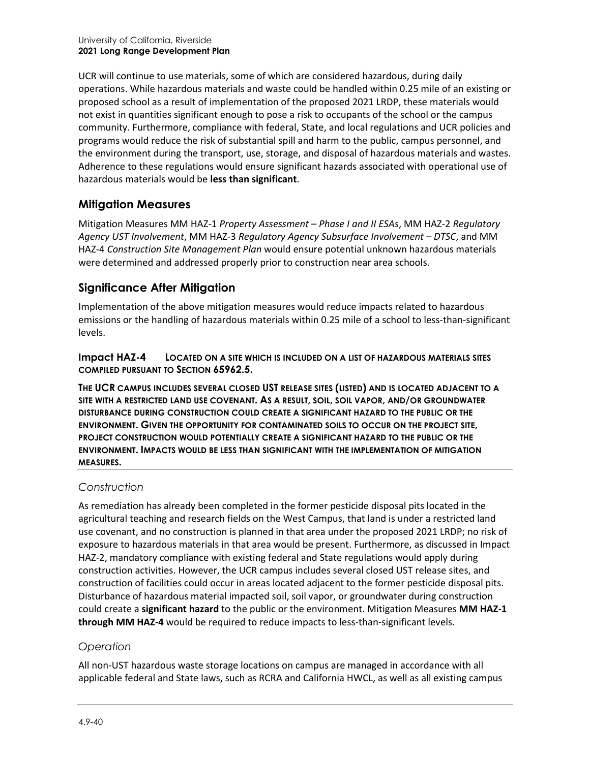UCR will continue to use materials, some of which are considered hazardous, during daily operations. While hazardous materials and waste could be handled within 0.25 mile of an existing or proposed school as a result of implementation of the proposed 2021 LRDP, these materials would not exist in quantities significant enough to pose a risk to occupants of the school or the campus community. Furthermore, compliance with federal, State, and local regulations and UCR policies and programs would reduce the risk of substantial spill and harm to the public, campus personnel, and the environment during the transport, use, storage, and disposal of hazardous materials and wastes. Adherence to these regulations would ensure significant hazards associated with operational use of hazardous materials would be **less than significant**.

# **Mitigation Measures**

Mitigation Measures MM HAZ-1 *Property Assessment – Phase I and II ESAs*, MM HAZ-2 *Regulatory Agency UST Involvement*, MM HAZ-3 *Regulatory Agency Subsurface Involvement – DTSC*, and MM HAZ-4 *Construction Site Management Plan* would ensure potential unknown hazardous materials were determined and addressed properly prior to construction near area schools.

# **Significance After Mitigation**

Implementation of the above mitigation measures would reduce impacts related to hazardous emissions or the handling of hazardous materials within 0.25 mile of a school to less-than-significant levels.

**Impact HAZ-4 LOCATED ON A SITE WHICH IS INCLUDED ON A LIST OF HAZARDOUS MATERIALS SITES COMPILED PURSUANT TO SECTION 65962.5.**

**THE UCR CAMPUS INCLUDES SEVERAL CLOSED UST RELEASE SITES (LISTED) AND IS LOCATED ADJACENT TO A SITE WITH A RESTRICTED LAND USE COVENANT. AS A RESULT, SOIL, SOIL VAPOR, AND/OR GROUNDWATER DISTURBANCE DURING CONSTRUCTION COULD CREATE A SIGNIFICANT HAZARD TO THE PUBLIC OR THE ENVIRONMENT. GIVEN THE OPPORTUNITY FOR CONTAMINATED SOILS TO OCCUR ON THE PROJECT SITE, PROJECT CONSTRUCTION WOULD POTENTIALLY CREATE A SIGNIFICANT HAZARD TO THE PUBLIC OR THE ENVIRONMENT. IMPACTS WOULD BE LESS THAN SIGNIFICANT WITH THE IMPLEMENTATION OF MITIGATION MEASURES.**

# *Construction*

As remediation has already been completed in the former pesticide disposal pits located in the agricultural teaching and research fields on the West Campus, that land is under a restricted land use covenant, and no construction is planned in that area under the proposed 2021 LRDP; no risk of exposure to hazardous materials in that area would be present. Furthermore, as discussed in Impact HAZ-2, mandatory compliance with existing federal and State regulations would apply during construction activities. However, the UCR campus includes several closed UST release sites, and construction of facilities could occur in areas located adjacent to the former pesticide disposal pits. Disturbance of hazardous material impacted soil, soil vapor, or groundwater during construction could create a **significant hazard** to the public or the environment. Mitigation Measures **MM HAZ-1 through MM HAZ-4** would be required to reduce impacts to less-than-significant levels.

#### *Operation*

All non-UST hazardous waste storage locations on campus are managed in accordance with all applicable federal and State laws, such as RCRA and California HWCL, as well as all existing campus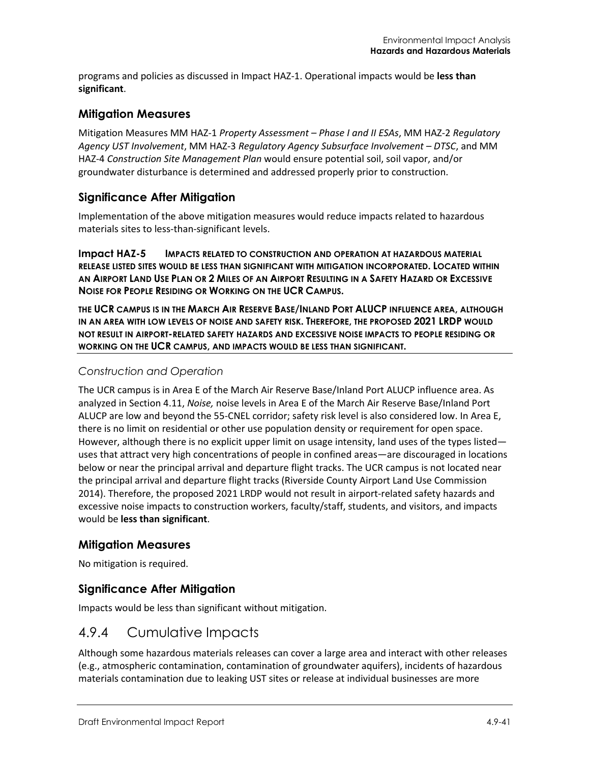programs and policies as discussed in Impact HAZ-1. Operational impacts would be **less than significant**.

#### **Mitigation Measures**

Mitigation Measures MM HAZ-1 *Property Assessment – Phase I and II ESAs*, MM HAZ-2 *Regulatory Agency UST Involvement*, MM HAZ-3 *Regulatory Agency Subsurface Involvement – DTSC*, and MM HAZ-4 *Construction Site Management Plan* would ensure potential soil, soil vapor, and/or groundwater disturbance is determined and addressed properly prior to construction.

#### **Significance After Mitigation**

Implementation of the above mitigation measures would reduce impacts related to hazardous materials sites to less-than-significant levels.

**Impact HAZ-5 IMPACTS RELATED TO CONSTRUCTION AND OPERATION AT HAZARDOUS MATERIAL RELEASE LISTED SITES WOULD BE LESS THAN SIGNIFICANT WITH MITIGATION INCORPORATED. LOCATED WITHIN AN AIRPORT LAND USE PLAN OR 2 MILES OF AN AIRPORT RESULTING IN A SAFETY HAZARD OR EXCESSIVE NOISE FOR PEOPLE RESIDING OR WORKING ON THE UCR CAMPUS.**

**THE UCR CAMPUS IS IN THE MARCH AIR RESERVE BASE/INLAND PORT ALUCP INFLUENCE AREA, ALTHOUGH IN AN AREA WITH LOW LEVELS OF NOISE AND SAFETY RISK. THEREFORE, THE PROPOSED 2021 LRDP WOULD NOT RESULT IN AIRPORT-RELATED SAFETY HAZARDS AND EXCESSIVE NOISE IMPACTS TO PEOPLE RESIDING OR WORKING ON THE UCR CAMPUS, AND IMPACTS WOULD BE LESS THAN SIGNIFICANT.**

#### *Construction and Operation*

The UCR campus is in Area E of the March Air Reserve Base/Inland Port ALUCP influence area. As analyzed in Section 4.11, *Noise,* noise levels in Area E of the March Air Reserve Base/Inland Port ALUCP are low and beyond the 55-CNEL corridor; safety risk level is also considered low. In Area E, there is no limit on residential or other use population density or requirement for open space. However, although there is no explicit upper limit on usage intensity, land uses of the types listed uses that attract very high concentrations of people in confined areas—are discouraged in locations below or near the principal arrival and departure flight tracks. The UCR campus is not located near the principal arrival and departure flight tracks (Riverside County Airport Land Use Commission 2014). Therefore, the proposed 2021 LRDP would not result in airport-related safety hazards and excessive noise impacts to construction workers, faculty/staff, students, and visitors, and impacts would be **less than significant**.

#### **Mitigation Measures**

No mitigation is required.

#### **Significance After Mitigation**

Impacts would be less than significant without mitigation.

# 4.9.4 Cumulative Impacts

Although some hazardous materials releases can cover a large area and interact with other releases (e.g., atmospheric contamination, contamination of groundwater aquifers), incidents of hazardous materials contamination due to leaking UST sites or release at individual businesses are more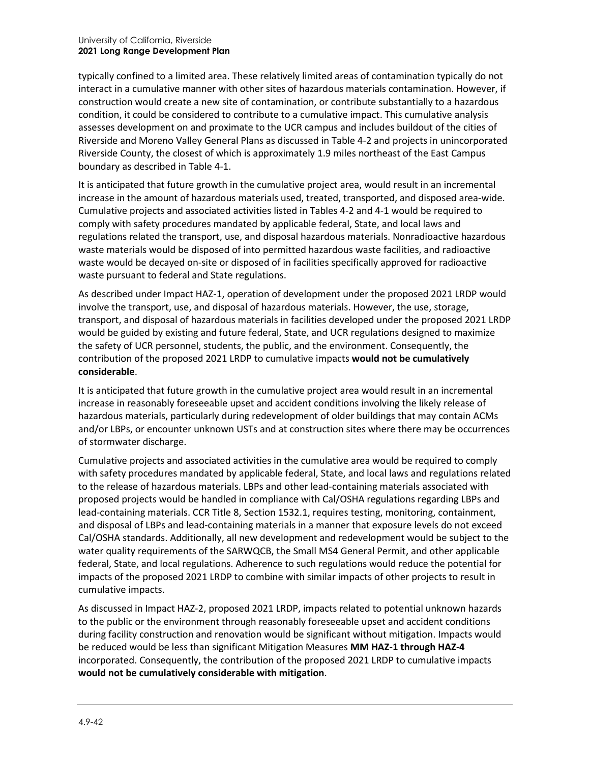typically confined to a limited area. These relatively limited areas of contamination typically do not interact in a cumulative manner with other sites of hazardous materials contamination. However, if construction would create a new site of contamination, or contribute substantially to a hazardous condition, it could be considered to contribute to a cumulative impact. This cumulative analysis assesses development on and proximate to the UCR campus and includes buildout of the cities of Riverside and Moreno Valley General Plans as discussed in Table 4-2 and projects in unincorporated Riverside County, the closest of which is approximately 1.9 miles northeast of the East Campus boundary as described in Table 4-1.

It is anticipated that future growth in the cumulative project area, would result in an incremental increase in the amount of hazardous materials used, treated, transported, and disposed area-wide. Cumulative projects and associated activities listed in Tables 4-2 and 4-1 would be required to comply with safety procedures mandated by applicable federal, State, and local laws and regulations related the transport, use, and disposal hazardous materials. Nonradioactive hazardous waste materials would be disposed of into permitted hazardous waste facilities, and radioactive waste would be decayed on-site or disposed of in facilities specifically approved for radioactive waste pursuant to federal and State regulations.

As described under Impact HAZ-1, operation of development under the proposed 2021 LRDP would involve the transport, use, and disposal of hazardous materials. However, the use, storage, transport, and disposal of hazardous materials in facilities developed under the proposed 2021 LRDP would be guided by existing and future federal, State, and UCR regulations designed to maximize the safety of UCR personnel, students, the public, and the environment. Consequently, the contribution of the proposed 2021 LRDP to cumulative impacts **would not be cumulatively considerable**.

It is anticipated that future growth in the cumulative project area would result in an incremental increase in reasonably foreseeable upset and accident conditions involving the likely release of hazardous materials, particularly during redevelopment of older buildings that may contain ACMs and/or LBPs, or encounter unknown USTs and at construction sites where there may be occurrences of stormwater discharge.

Cumulative projects and associated activities in the cumulative area would be required to comply with safety procedures mandated by applicable federal, State, and local laws and regulations related to the release of hazardous materials. LBPs and other lead-containing materials associated with proposed projects would be handled in compliance with Cal/OSHA regulations regarding LBPs and lead-containing materials. CCR Title 8, Section 1532.1, requires testing, monitoring, containment, and disposal of LBPs and lead-containing materials in a manner that exposure levels do not exceed Cal/OSHA standards. Additionally, all new development and redevelopment would be subject to the water quality requirements of the SARWQCB, the Small MS4 General Permit, and other applicable federal, State, and local regulations. Adherence to such regulations would reduce the potential for impacts of the proposed 2021 LRDP to combine with similar impacts of other projects to result in cumulative impacts.

As discussed in Impact HAZ-2, proposed 2021 LRDP, impacts related to potential unknown hazards to the public or the environment through reasonably foreseeable upset and accident conditions during facility construction and renovation would be significant without mitigation. Impacts would be reduced would be less than significant Mitigation Measures **MM HAZ-1 through HAZ-4** incorporated. Consequently, the contribution of the proposed 2021 LRDP to cumulative impacts **would not be cumulatively considerable with mitigation**.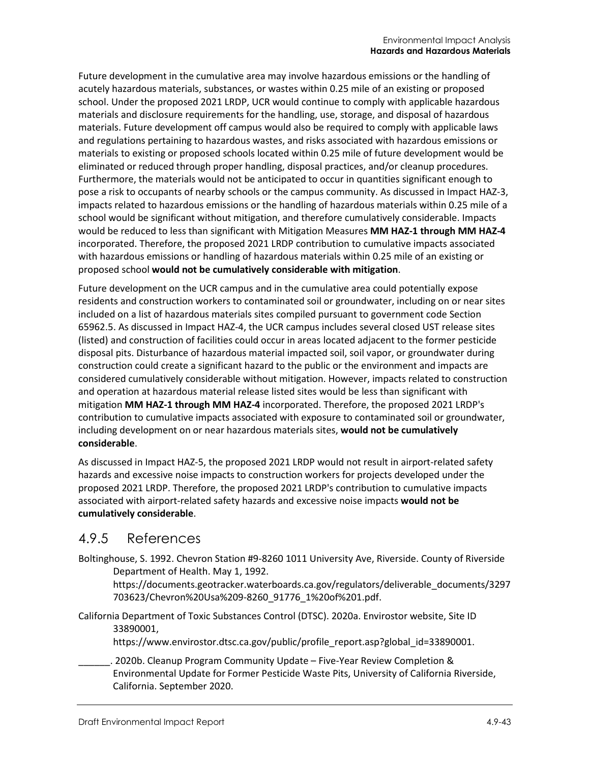Future development in the cumulative area may involve hazardous emissions or the handling of acutely hazardous materials, substances, or wastes within 0.25 mile of an existing or proposed school. Under the proposed 2021 LRDP, UCR would continue to comply with applicable hazardous materials and disclosure requirements for the handling, use, storage, and disposal of hazardous materials. Future development off campus would also be required to comply with applicable laws and regulations pertaining to hazardous wastes, and risks associated with hazardous emissions or materials to existing or proposed schools located within 0.25 mile of future development would be eliminated or reduced through proper handling, disposal practices, and/or cleanup procedures. Furthermore, the materials would not be anticipated to occur in quantities significant enough to pose a risk to occupants of nearby schools or the campus community. As discussed in Impact HAZ-3, impacts related to hazardous emissions or the handling of hazardous materials within 0.25 mile of a school would be significant without mitigation, and therefore cumulatively considerable. Impacts would be reduced to less than significant with Mitigation Measures **MM HAZ-1 through MM HAZ-4** incorporated. Therefore, the proposed 2021 LRDP contribution to cumulative impacts associated with hazardous emissions or handling of hazardous materials within 0.25 mile of an existing or proposed school **would not be cumulatively considerable with mitigation**.

Future development on the UCR campus and in the cumulative area could potentially expose residents and construction workers to contaminated soil or groundwater, including on or near sites included on a list of hazardous materials sites compiled pursuant to government code Section 65962.5. As discussed in Impact HAZ-4, the UCR campus includes several closed UST release sites (listed) and construction of facilities could occur in areas located adjacent to the former pesticide disposal pits. Disturbance of hazardous material impacted soil, soil vapor, or groundwater during construction could create a significant hazard to the public or the environment and impacts are considered cumulatively considerable without mitigation. However, impacts related to construction and operation at hazardous material release listed sites would be less than significant with mitigation **MM HAZ-1 through MM HAZ-4** incorporated. Therefore, the proposed 2021 LRDP's contribution to cumulative impacts associated with exposure to contaminated soil or groundwater, including development on or near hazardous materials sites, **would not be cumulatively considerable**.

As discussed in Impact HAZ-5, the proposed 2021 LRDP would not result in airport-related safety hazards and excessive noise impacts to construction workers for projects developed under the proposed 2021 LRDP. Therefore, the proposed 2021 LRDP's contribution to cumulative impacts associated with airport-related safety hazards and excessive noise impacts **would not be cumulatively considerable**.

# 4.9.5 References

Boltinghouse, S. 1992. Chevron Station #9-8260 1011 University Ave, Riverside. County of Riverside Department of Health. May 1, 1992.

[https://documents.geotracker.waterboards.ca.gov/regulators/deliverable\\_documents/3297](https://documents.geotracker.waterboards.ca.gov/regulators/deliverable_documents/3297703623/Chevron%20Usa%209-8260_91776_1%20of%201.pdf) [703623/Chevron%20Usa%209-8260\\_91776\\_1%20of%201.pdf.](https://documents.geotracker.waterboards.ca.gov/regulators/deliverable_documents/3297703623/Chevron%20Usa%209-8260_91776_1%20of%201.pdf)

California Department of Toxic Substances Control (DTSC). 2020a. Envirostor website, Site ID 33890001,

[https://www.envirostor.dtsc.ca.gov/public/profile\\_report.asp?global\\_id=33890001.](https://www.envirostor.dtsc.ca.gov/public/profile_report.asp?global_id=33890001)

\_\_\_\_\_\_. 2020b. Cleanup Program Community Update – Five-Year Review Completion & Environmental Update for Former Pesticide Waste Pits, University of California Riverside, California. September 2020.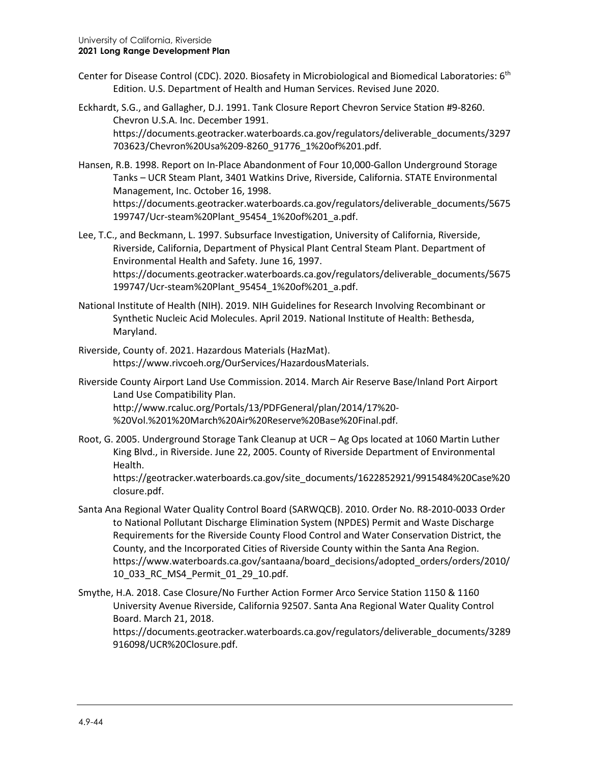- Center for Disease Control (CDC). 2020. Biosafety in Microbiological and Biomedical Laboratories: 6th Edition. U.S. Department of Health and Human Services. Revised June 2020.
- Eckhardt, S.G., and Gallagher, D.J. 1991. Tank Closure Report Chevron Service Station #9-8260. Chevron U.S.A. Inc. December 1991. [https://documents.geotracker.waterboards.ca.gov/regulators/deliverable\\_documents/3297](https://documents.geotracker.waterboards.ca.gov/regulators/deliverable_documents/3297703623/Chevron%20Usa%209-8260_91776_1%20of%201.pdf) [703623/Chevron%20Usa%209-8260\\_91776\\_1%20of%201.pdf.](https://documents.geotracker.waterboards.ca.gov/regulators/deliverable_documents/3297703623/Chevron%20Usa%209-8260_91776_1%20of%201.pdf)
- Hansen, R.B. 1998. Report on In-Place Abandonment of Four 10,000-Gallon Underground Storage Tanks – UCR Steam Plant, 3401 Watkins Drive, Riverside, California. STATE Environmental Management, Inc. October 16, 1998. [https://documents.geotracker.waterboards.ca.gov/regulators/deliverable\\_documents/5675](https://documents.geotracker.waterboards.ca.gov/regulators/deliverable_documents/5675199747/Ucr-steam%20Plant_95454_1%20of%201_a.pdf) [199747/Ucr-steam%20Plant\\_95454\\_1%20of%201\\_a.pdf.](https://documents.geotracker.waterboards.ca.gov/regulators/deliverable_documents/5675199747/Ucr-steam%20Plant_95454_1%20of%201_a.pdf)
- Lee, T.C., and Beckmann, L. 1997. Subsurface Investigation, University of California, Riverside, Riverside, California, Department of Physical Plant Central Steam Plant. Department of Environmental Health and Safety. June 16, 1997. [https://documents.geotracker.waterboards.ca.gov/regulators/deliverable\\_documents/5675](https://documents.geotracker.waterboards.ca.gov/regulators/deliverable_documents/5675199747/Ucr-steam%20Plant_95454_1%20of%201_a.pdf) [199747/Ucr-steam%20Plant\\_95454\\_1%20of%201\\_a.pdf.](https://documents.geotracker.waterboards.ca.gov/regulators/deliverable_documents/5675199747/Ucr-steam%20Plant_95454_1%20of%201_a.pdf)
- National Institute of Health (NIH). 2019. NIH Guidelines for Research Involving Recombinant or Synthetic Nucleic Acid Molecules. April 2019. National Institute of Health: Bethesda, Maryland.
- Riverside, County of. 2021. Hazardous Materials (HazMat). [https://www.rivcoeh.org/OurServices/HazardousMaterials.](https://www.rivcoeh.org/OurServices/HazardousMaterials)
- Riverside County Airport Land Use Commission. 2014. March Air Reserve Base/Inland Port Airport Land Use Compatibility Plan. [http://www.rcaluc.org/Portals/13/PDFGeneral/plan/2014/17%20-](http://www.rcaluc.org/Portals/13/PDFGeneral/plan/2014/17%20-%20Vol.%201%20March%20Air%20Reserve%20Base%20Final.pdf) [%20Vol.%201%20March%20Air%20Reserve%20Base%20Final.pdf.](http://www.rcaluc.org/Portals/13/PDFGeneral/plan/2014/17%20-%20Vol.%201%20March%20Air%20Reserve%20Base%20Final.pdf)
- Root, G. 2005. Underground Storage Tank Cleanup at UCR Ag Ops located at 1060 Martin Luther King Blvd., in Riverside. June 22, 2005. County of Riverside Department of Environmental Health.

[https://geotracker.waterboards.ca.gov/site\\_documents/1622852921/9915484%20Case%20](https://geotracker.waterboards.ca.gov/site_documents/1622852921/9915484%20Case%20closure.pdf) [closure.pdf.](https://geotracker.waterboards.ca.gov/site_documents/1622852921/9915484%20Case%20closure.pdf)

- Santa Ana Regional Water Quality Control Board (SARWQCB). 2010. Order No. R8-2010-0033 Order to National Pollutant Discharge Elimination System (NPDES) Permit and Waste Discharge Requirements for the Riverside County Flood Control and Water Conservation District, the County, and the Incorporated Cities of Riverside County within the Santa Ana Region. [https://www.waterboards.ca.gov/santaana/board\\_decisions/adopted\\_orders/orders/2010/](https://www.waterboards.ca.gov/santaana/board_decisions/adopted_orders/orders/2010/10_033_RC_MS4_Permit_01_29_10.pdf) [10\\_033\\_RC\\_MS4\\_Permit\\_01\\_29\\_10.pdf.](https://www.waterboards.ca.gov/santaana/board_decisions/adopted_orders/orders/2010/10_033_RC_MS4_Permit_01_29_10.pdf)
- Smythe, H.A. 2018. Case Closure/No Further Action Former Arco Service Station 1150 & 1160 University Avenue Riverside, California 92507. Santa Ana Regional Water Quality Control Board. March 21, 2018.

[https://documents.geotracker.waterboards.ca.gov/regulators/deliverable\\_documents/3289](https://documents.geotracker.waterboards.ca.gov/regulators/deliverable_documents/3289916098/UCR%20Closure.pdf) [916098/UCR%20Closure.pdf.](https://documents.geotracker.waterboards.ca.gov/regulators/deliverable_documents/3289916098/UCR%20Closure.pdf)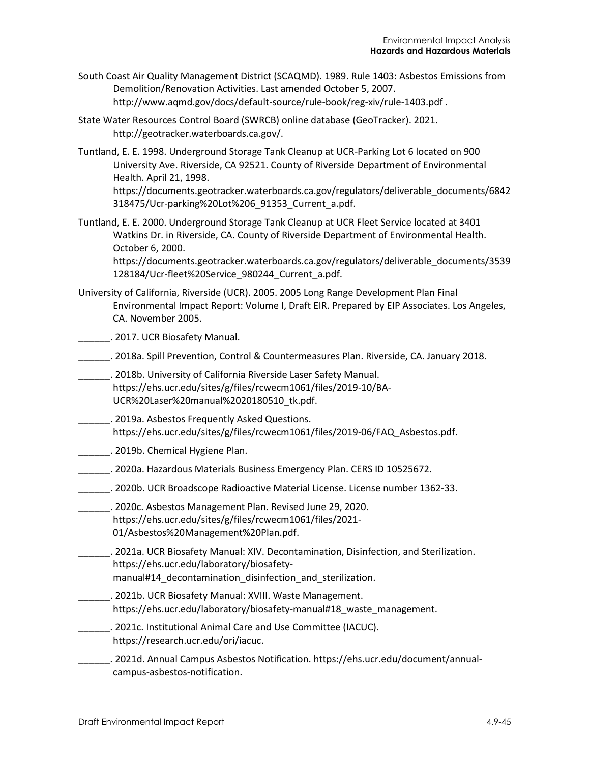- South Coast Air Quality Management District (SCAQMD). 1989. Rule 1403: Asbestos Emissions from Demolition/Renovation Activities. Last amended October 5, 2007. <http://www.aqmd.gov/docs/default-source/rule-book/reg-xiv/rule-1403.pdf> .
- State Water Resources Control Board (SWRCB) online database (GeoTracker). 2021. [http://geotracker.waterboards.ca.gov/.](http://geotracker.waterboards.ca.gov/)
- Tuntland, E. E. 1998. Underground Storage Tank Cleanup at UCR-Parking Lot 6 located on 900 University Ave. Riverside, CA 92521. County of Riverside Department of Environmental Health. April 21, 1998. [https://documents.geotracker.waterboards.ca.gov/regulators/deliverable\\_documents/6842](https://documents.geotracker.waterboards.ca.gov/regulators/deliverable_documents/6842318475/Ucr-parking%20Lot%206_91353_Current_a.pdf) [318475/Ucr-parking%20Lot%206\\_91353\\_Current\\_a.pdf.](https://documents.geotracker.waterboards.ca.gov/regulators/deliverable_documents/6842318475/Ucr-parking%20Lot%206_91353_Current_a.pdf)
- Tuntland, E. E. 2000. Underground Storage Tank Cleanup at UCR Fleet Service located at 3401 Watkins Dr. in Riverside, CA. County of Riverside Department of Environmental Health. October 6, 2000.

[https://documents.geotracker.waterboards.ca.gov/regulators/deliverable\\_documents/3539](https://documents.geotracker.waterboards.ca.gov/regulators/deliverable_documents/3539128184/Ucr-fleet%20Service_980244_Current_a.pdf) [128184/Ucr-fleet%20Service\\_980244\\_Current\\_a.pdf.](https://documents.geotracker.waterboards.ca.gov/regulators/deliverable_documents/3539128184/Ucr-fleet%20Service_980244_Current_a.pdf)

University of California, Riverside (UCR). 2005. 2005 Long Range Development Plan Final Environmental Impact Report: Volume I, Draft EIR. Prepared by EIP Associates. Los Angeles, CA. November 2005.

Lackson 2017. UCR Biosafety Manual.

- \_\_\_\_\_\_. 2018a. Spill Prevention, Control & Countermeasures Plan. Riverside, CA. January 2018.
- \_\_\_\_\_\_. 2018b. University of California Riverside Laser Safety Manual. [https://ehs.ucr.edu/sites/g/files/rcwecm1061/files/2019-10/BA-](https://ehs.ucr.edu/sites/g/files/rcwecm1061/files/2019-10/BA-UCR%20Laser%20manual%2020180510_tk.pdf)[UCR%20Laser%20manual%2020180510\\_tk.pdf.](https://ehs.ucr.edu/sites/g/files/rcwecm1061/files/2019-10/BA-UCR%20Laser%20manual%2020180510_tk.pdf)
- \_\_\_\_\_\_. 2019a. Asbestos Frequently Asked Questions. [https://ehs.ucr.edu/sites/g/files/rcwecm1061/files/2019-06/FAQ\\_Asbestos.pdf.](https://ehs.ucr.edu/sites/g/files/rcwecm1061/files/2019-06/FAQ_Asbestos.pdf)
- **\_\_\_\_\_\_\_\_. 2019b. Chemical Hygiene Plan.**
- \_\_\_\_\_\_. 2020a. Hazardous Materials Business Emergency Plan. CERS ID 10525672.
- \_\_\_\_\_\_. 2020b. UCR Broadscope Radioactive Material License. License number 1362-33.
- \_\_\_\_\_\_. 2020c. Asbestos Management Plan. Revised June 29, 2020. [https://ehs.ucr.edu/sites/g/files/rcwecm1061/files/2021-](https://ehs.ucr.edu/sites/g/files/rcwecm1061/files/2021-01/Asbestos%20Management%20Plan.pdf) [01/Asbestos%20Management%20Plan.pdf.](https://ehs.ucr.edu/sites/g/files/rcwecm1061/files/2021-01/Asbestos%20Management%20Plan.pdf)
- \_\_\_\_\_\_. 2021a. UCR Biosafety Manual: XIV. Decontamination, Disinfection, and Sterilization. [https://ehs.ucr.edu/laboratory/biosafety](https://ehs.ucr.edu/laboratory/biosafety-manual#14_decontamination_disinfection_and_sterilization)
	- manual#14 decontamination disinfection and sterilization.
- \_\_\_\_\_\_. 2021b. UCR Biosafety Manual: XVIII. Waste Management. https://ehs.ucr.edu/laboratory/biosafety-manual#18 waste\_management.
- \_\_\_\_\_\_. 2021c. Institutional Animal Care and Use Committee (IACUC). [https://research.ucr.edu/ori/iacuc.](https://research.ucr.edu/ori/iacuc)
- \_\_\_\_\_\_. 2021d. Annual Campus Asbestos Notification[. https://ehs.ucr.edu/document/annual](https://ehs.ucr.edu/document/annual-campus-asbestos-notification)[campus-asbestos-notification.](https://ehs.ucr.edu/document/annual-campus-asbestos-notification)